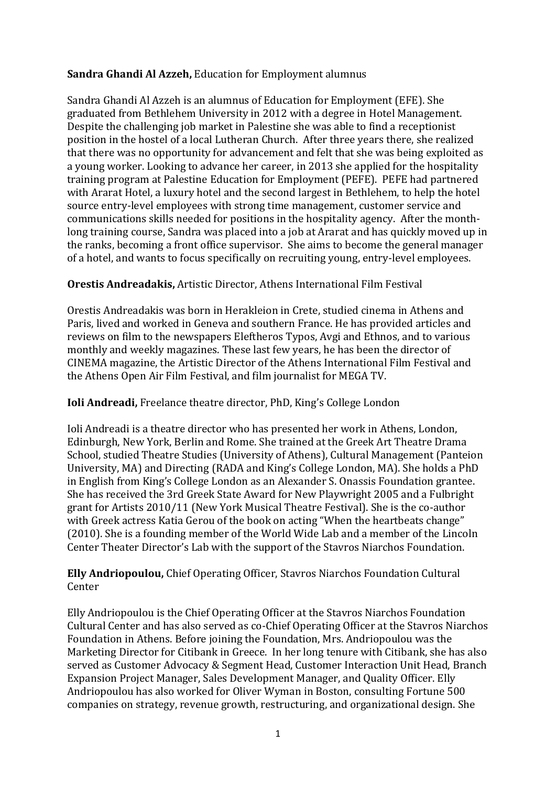## **Sandra Ghandi Al Azzeh,** Education for Employment alumnus

Sandra Ghandi Al Azzeh is an alumnus of Education for Employment (EFE). She graduated from Bethlehem University in 2012 with a degree in Hotel Management. Despite the challenging job market in Palestine she was able to find a receptionist position in the hostel of a local Lutheran Church. After three years there, she realized that there was no opportunity for advancement and felt that she was being exploited as a young worker. Looking to advance her career, in 2013 she applied for the hospitality training program at Palestine Education for Employment (PEFE). PEFE had partnered with Ararat Hotel, a luxury hotel and the second largest in Bethlehem, to help the hotel source entry-level employees with strong time management, customer service and communications skills needed for positions in the hospitality agency. After the monthlong training course, Sandra was placed into a job at Ararat and has quickly moved up in the ranks, becoming a front office supervisor. She aims to become the general manager of a hotel, and wants to focus specifically on recruiting young, entry-level employees.

### **Orestis Andreadakis,** Artistic Director, Athens International Film Festival

Orestis Andreadakis was born in Herakleion in Crete, studied cinema in Athens and Paris, lived and worked in Geneva and southern France. He has provided articles and reviews on film to the newspapers Eleftheros Typos, Avgi and Ethnos, and to various monthly and weekly magazines. These last few years, he has been the director of CINEMA magazine, the Artistic Director of the Athens International Film Festival and the Athens Open Air Film Festival, and film journalist for MEGA TV.

### **Ioli Andreadi,** Freelance theatre director, PhD, King's College London

Ioli Andreadi is a theatre director who has presented her work in Athens, London, Edinburgh, New York, Berlin and Rome. She trained at the Greek Art Theatre Drama School, studied Theatre Studies (University of Athens), Cultural Management (Panteion University, MA) and Directing (RADA and King's College London, MA). She holds a PhD in English from King's College London as an Alexander S. Onassis Foundation grantee. She has received the 3rd Greek State Award for New Playwright 2005 and a Fulbright grant for Artists 2010/11 (New York Musical Theatre Festival). She is the co-author with Greek actress Katia Gerou of the book on acting "When the heartbeats change" (2010). She is a founding member of the World Wide Lab and a member of the Lincoln Center Theater Director's Lab with the support of the Stavros Niarchos Foundation.

**Elly Andriopoulou,** Chief Operating Officer, Stavros Niarchos Foundation Cultural Center

Elly Andriopoulou is the Chief Operating Officer at the Stavros Niarchos Foundation Cultural Center and has also served as co-Chief Operating Officer at the Stavros Niarchos Foundation in Athens. Before joining the Foundation, Mrs. Andriopoulou was the Marketing Director for Citibank in Greece. In her long tenure with Citibank, she has also served as Customer Advocacy & Segment Head, Customer Interaction Unit Head, Branch Expansion Project Manager, Sales Development Manager, and Quality Officer. Elly Andriopoulou has also worked for Oliver Wyman in Boston, consulting Fortune 500 companies on strategy, revenue growth, restructuring, and organizational design. She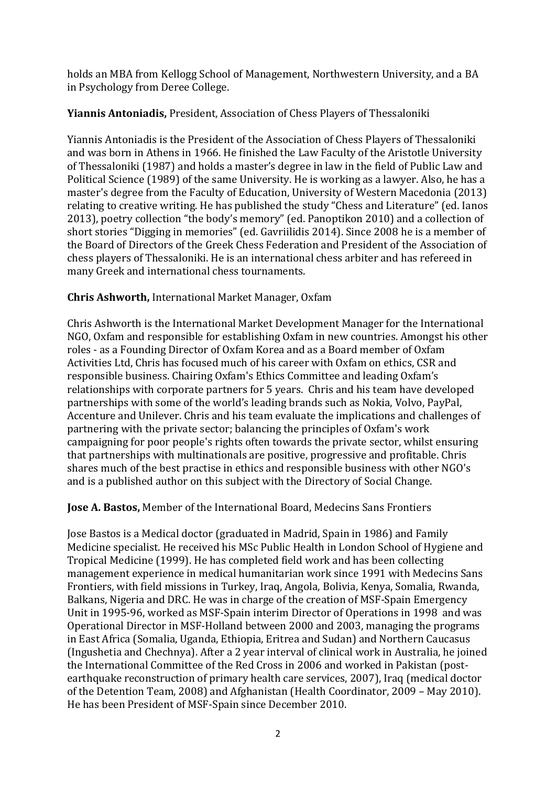holds an MBA from Kellogg School of Management, Northwestern University, and a BA in Psychology from Deree College.

## **Yiannis Antoniadis,** President, Association of Chess Players of Thessaloniki

Yiannis Antoniadis is the President of the Association of Chess Players of Thessaloniki and was born in Athens in 1966. He finished the Law Faculty of the Aristotle University of Thessaloniki (1987) and holds a master's degree in law in the field of Public Law and Political Science (1989) of the same University. He is working as a lawyer. Also, he has a master's degree from the Faculty of Education, University of Western Macedonia (2013) relating to creative writing. He has published the study "Chess and Literature" (ed. Ianos 2013), poetry collection "the body's memory" (ed. Panoptikon 2010) and a collection of short stories "Digging in memories" (ed. Gavriilidis 2014). Since 2008 he is a member of the Board of Directors of the Greek Chess Federation and President of the Association of chess players of Thessaloniki. He is an international chess arbiter and has refereed in many Greek and international chess tournaments.

## **Chris Ashworth,** International Market Manager, Oxfam

Chris Ashworth is the International Market Development Manager for the International NGO, Oxfam and responsible for establishing Oxfam in new countries. Amongst his other roles - as a Founding Director of Oxfam Korea and as a Board member of Oxfam Activities Ltd, Chris has focused much of his career with Oxfam on ethics, CSR and responsible business. Chairing Oxfam's Ethics Committee and leading Oxfam's relationships with corporate partners for 5 years. Chris and his team have developed partnerships with some of the world's leading brands such as Nokia, Volvo, PayPal, Accenture and Unilever. Chris and his team evaluate the implications and challenges of partnering with the private sector; balancing the principles of Oxfam's work campaigning for poor people's rights often towards the private sector, whilst ensuring that partnerships with multinationals are positive, progressive and profitable. Chris shares much of the best practise in ethics and responsible business with other NGO's and is a published author on this subject with the Directory of Social Change.

### **Jose A. Bastos,** Member of the International Board, Medecins Sans Frontiers

Jose Bastos is a Medical doctor (graduated in Madrid, Spain in 1986) and Family Medicine specialist. He received his MSc Public Health in London School of Hygiene and Tropical Medicine (1999). He has completed field work and has been collecting management experience in medical humanitarian work since 1991 with Medecins Sans Frontiers, with field missions in Turkey, Iraq, Angola, Bolivia, Kenya, Somalia, Rwanda, Balkans, Nigeria and DRC. He was in charge of the creation of MSF-Spain Emergency Unit in 1995-96, worked as MSF-Spain interim Director of Operations in 1998 and was Operational Director in MSF-Holland between 2000 and 2003, managing the programs in East Africa (Somalia, Uganda, Ethiopia, Eritrea and Sudan) and Northern Caucasus (Ingushetia and Chechnya). After a 2 year interval of clinical work in Australia, he joined the International Committee of the Red Cross in 2006 and worked in Pakistan (postearthquake reconstruction of primary health care services, 2007), Iraq (medical doctor of the Detention Team, 2008) and Afghanistan (Health Coordinator, 2009 – May 2010). He has been President of MSF-Spain since December 2010.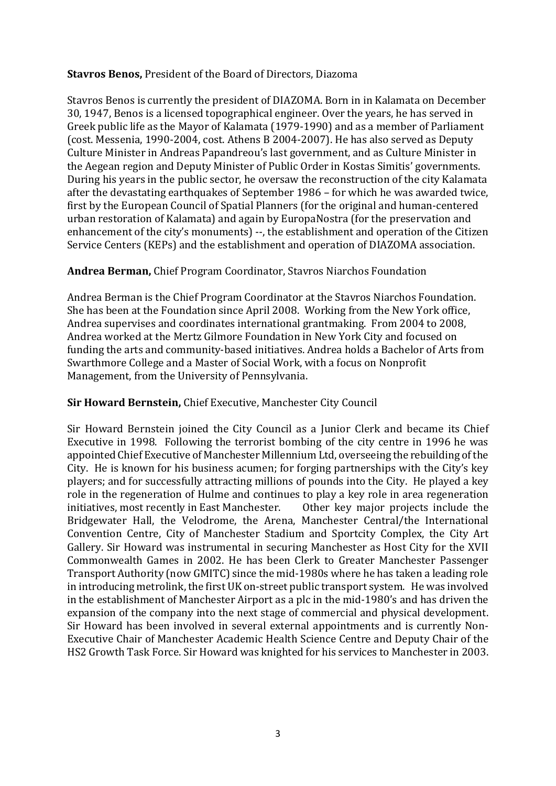### **Stavros Benos,** President of the Board of Directors, Diazoma

Stavros Benos is currently the president of DIAZOMA. Born in in Kalamata on December 30, 1947, Benos is a licensed topographical engineer. Over the years, he has served in Greek public life as the Mayor of Kalamata (1979-1990) and as a member of Parliament (cost. Messenia, 1990-2004, cost. Athens B 2004-2007). He has also served as Deputy Culture Minister in Andreas Papandreou's last government, and as Culture Minister in the Aegean region and Deputy Minister of Public Order in Kostas Simitis' governments. During his years in the public sector, he oversaw the reconstruction of the city Kalamata after the devastating earthquakes of September 1986 – for which he was awarded twice, first by the European Council of Spatial Planners (for the original and human-centered urban restoration of Kalamata) and again by EuropaNostra (for the preservation and enhancement of the city's monuments) --, the establishment and operation of the Citizen Service Centers (KEPs) and the establishment and operation of DIAZOMA association.

## **Andrea Berman,** Chief Program Coordinator, Stavros Niarchos Foundation

Andrea Berman is the Chief Program Coordinator at the Stavros Niarchos Foundation. She has been at the Foundation since April 2008. Working from the New York office, Andrea supervises and coordinates international grantmaking. From 2004 to 2008, Andrea worked at the Mertz Gilmore Foundation in New York City and focused on funding the arts and community-based initiatives. Andrea holds a Bachelor of Arts from Swarthmore College and a Master of Social Work, with a focus on Nonprofit Management, from the University of Pennsylvania.

### **Sir Howard Bernstein,** Chief Executive, Manchester City Council

Sir Howard Bernstein joined the City Council as a Junior Clerk and became its Chief Executive in 1998. Following the terrorist bombing of the city centre in 1996 he was appointed Chief Executive of Manchester Millennium Ltd, overseeing the rebuilding of the City. He is known for his business acumen; for forging partnerships with the City's key players; and for successfully attracting millions of pounds into the City. He played a key role in the regeneration of Hulme and continues to play a key role in area regeneration<br>initiatives, most recently in East Manchester. Other key major projects include the initiatives, most recently in East Manchester. Bridgewater Hall, the Velodrome, the Arena, Manchester Central/the International Convention Centre, City of Manchester Stadium and Sportcity Complex, the City Art Gallery. Sir Howard was instrumental in securing Manchester as Host City for the XVII Commonwealth Games in 2002. He has been Clerk to Greater Manchester Passenger Transport Authority (now GMITC) since the mid-1980s where he has taken a leading role in introducing metrolink, the first UK on-street public transport system. He was involved in the establishment of Manchester Airport as a plc in the mid-1980's and has driven the expansion of the company into the next stage of commercial and physical development. Sir Howard has been involved in several external appointments and is currently Non-Executive Chair of Manchester Academic Health Science Centre and Deputy Chair of the HS2 Growth Task Force. Sir Howard was knighted for his services to Manchester in 2003.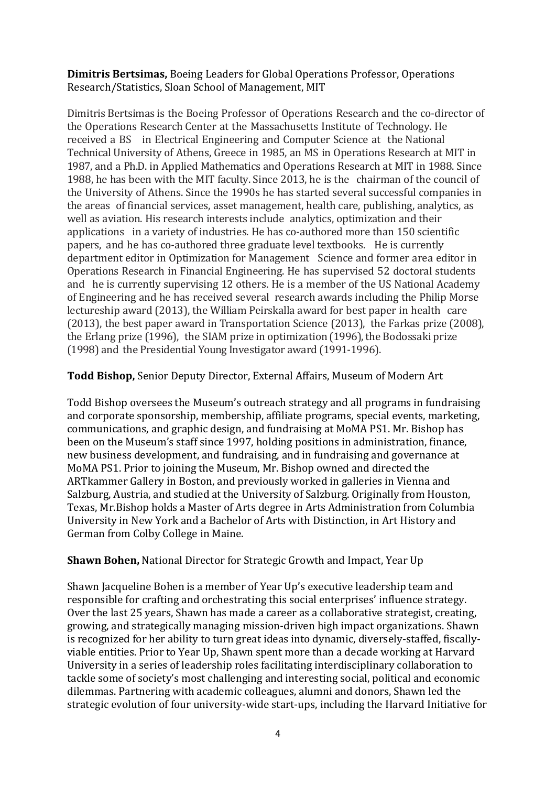**Dimitris Bertsimas,** Boeing Leaders for Global Operations Professor, Operations Research/Statistics, Sloan School of Management, MIT

Dimitris Bertsimas is the Boeing Professor of Operations Research and the co-director of the Operations Research Center at the Massachusetts Institute of Technology. He received a BS in Electrical Engineering and Computer Science at the National Technical University of Athens, Greece in 1985, an MS in Operations Research at MIT in 1987, and a Ph.D. in Applied Mathematics and Operations Research at MIT in 1988. Since 1988, he has been with the MIT faculty. Since 2013, he is the chairman of the council of the University of Athens. Since the 1990s he has started several successful companies in the areas of financial services, asset management, health care, publishing, analytics, as well as aviation. His research interests include analytics, optimization and their applications in a variety of industries. He has co-authored more than 150 scientific papers, and he has co-authored three graduate level textbooks. He is currently department editor in Optimization for Management Science and former area editor in Operations Research in Financial Engineering. He has supervised 52 doctoral students and he is currently supervising 12 others. He is a member of the US National Academy of Engineering and he has received several research awards including the Philip Morse lectureship award (2013), the William Peirskalla award for best paper in health care (2013), the best paper award in Transportation Science (2013), the Farkas prize (2008), the Erlang prize (1996), the SIAM prize in optimization (1996), the Bodossaki prize (1998) and the Presidential Young Investigator award (1991-1996).

**Todd Bishop,** Senior Deputy Director, External Affairs, Museum of Modern Art

Todd Bishop oversees the Museum's outreach strategy and all programs in fundraising and corporate sponsorship, membership, affiliate programs, special events, marketing, communications, and graphic design, and fundraising at MoMA PS1. Mr. Bishop has been on the Museum's staff since 1997, holding positions in administration, finance, new business development, and fundraising, and in fundraising and governance at MoMA PS1. Prior to joining the Museum, Mr. Bishop owned and directed the ARTkammer Gallery in Boston, and previously worked in galleries in Vienna and Salzburg, Austria, and studied at the University of Salzburg. Originally from Houston, Texas, Mr.Bishop holds a Master of Arts degree in Arts Administration from Columbia University in New York and a Bachelor of Arts with Distinction, in Art History and German from Colby College in Maine.

### **Shawn Bohen,** National Director for Strategic Growth and Impact, Year Up

Shawn Jacqueline Bohen is a member of Year Up's executive leadership team and responsible for crafting and orchestrating this social enterprises' influence strategy. Over the last 25 years, Shawn has made a career as a collaborative strategist, creating, growing, and strategically managing mission-driven high impact organizations. Shawn is recognized for her ability to turn great ideas into dynamic, diversely-staffed, fiscallyviable entities. Prior to Year Up, Shawn spent more than a decade working at Harvard University in a series of leadership roles facilitating interdisciplinary collaboration to tackle some of society's most challenging and interesting social, political and economic dilemmas. Partnering with academic colleagues, alumni and donors, Shawn led the strategic evolution of four university-wide start-ups, including the Harvard Initiative for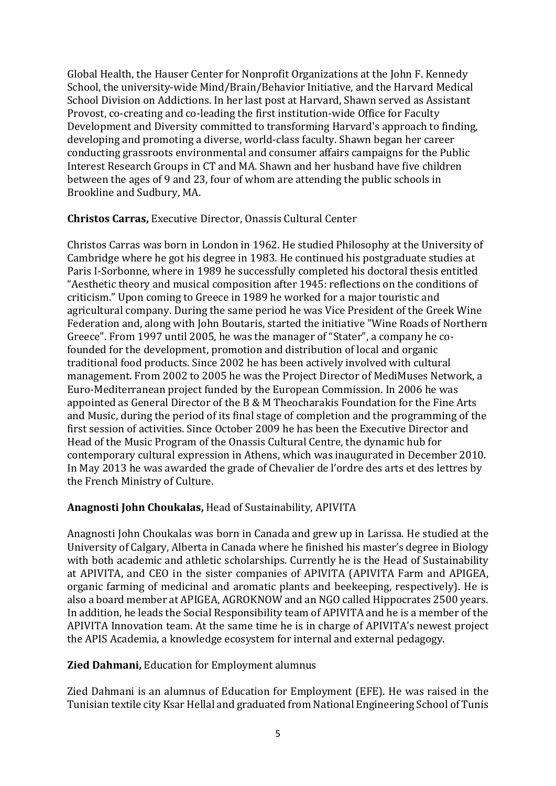Global Health, the Hauser Center for Nonprofit Organizations at the John F. Kennedy School, the university-wide Mind/Brain/Behavior Initiative, and the Harvard Medical School Division on Addictions. In her last post at Harvard, Shawn served as Assistant Provost, co-creating and co-leading the first institution-wide Office for Faculty Development and Diversity committed to transforming Harvard's approach to finding, developing and promoting a diverse, world-class faculty. Shawn began her career conducting grassroots environmental and consumer affairs campaigns for the Public Interest Research Groups in CT and MA. Shawn and her husband have five children between the ages of 9 and 23, four of whom are attending the public schools in Brookline and Sudbury, MA.

### **Christos Carras,** Executive Director, Onassis Cultural Center

Christos Carras was born in London in 1962. He studied Philosophy at the University of Cambridge where he got his degree in 1983. He continued his postgraduate studies at Paris I-Sorbonne, where in 1989 he successfully completed his doctoral thesis entitled "Aesthetic theory and musical composition after 1945: reflections on the conditions of criticism." Upon coming to Greece in 1989 he worked for a major touristic and agricultural company. During the same period he was Vice President of the Greek Wine Federation and, along with John Boutaris, started the initiative "Wine Roads of Northern Greece". From 1997 until 2005, he was the manager of "Stater", a company he cofounded for the development, promotion and distribution of local and organic traditional food products. Since 2002 he has been actively involved with cultural management. From 2002 to 2005 he was the Project Director of MediMuses Network, a Euro-Mediterranean project funded by the European Commission. In 2006 he was appointed as General Director of the B & M Theocharakis Foundation for the Fine Arts and Music, during the period of its final stage of completion and the programming of the first session of activities. Since October 2009 he has been the Executive Director and Head of the Music Program of the Onassis Cultural Centre, the dynamic hub for contemporary cultural expression in Athens, which was inaugurated in December 2010. In May 2013 he was awarded the grade of Chevalier de l'ordre des arts et des lettres by the French Ministry of Culture.

### **Anagnosti John Choukalas,** Head of Sustainability, APIVITA

Anagnosti John Choukalas was born in Canada and grew up in Larissa. He studied at the University of Calgary, Alberta in Canada where he finished his master's degree in Biology with both academic and athletic scholarships. Currently he is the Head of Sustainability at APIVITA, and CEO in the sister companies of APIVITA (APIVITA Farm and APIGEA, organic farming of medicinal and aromatic plants and beekeeping, respectively). He is also a board member at APIGEA, AGROKNOW and an NGO called Hippocrates 2500 years. In addition, he leads the Social Responsibility team of APIVITA and he is a member of the APIVITA Innovation team. At the same time he is in charge of APIVITA's newest project the APIS Academia, a knowledge ecosystem for internal and external pedagogy.

### **Zied Dahmani,** Education for Employment alumnus

Zied Dahmani is an alumnus of Education for Employment (EFE). He was raised in the Tunisian textile city Ksar Hellal and graduated from National Engineering School of Tunis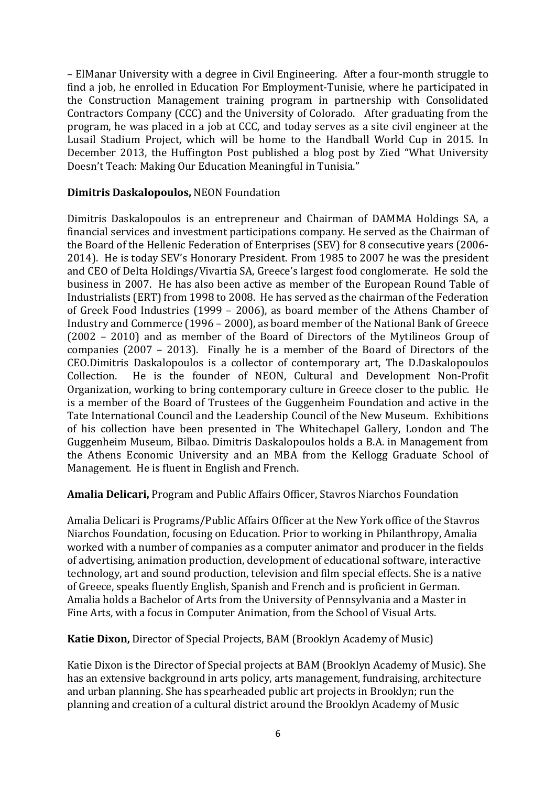– ElManar University with a degree in Civil Engineering. After a four-month struggle to find a job, he enrolled in Education For Employment-Tunisie, where he participated in the Construction Management training program in partnership with Consolidated Contractors Company (CCC) and the University of Colorado. After graduating from the program, he was placed in a job at CCC, and today serves as a site civil engineer at the Lusail Stadium Project, which will be home to the Handball World Cup in 2015. In December 2013, the Huffington Post published a blog post by Zied "What University Doesn't Teach: Making Our Education Meaningful in Tunisia."

### **Dimitris Daskalopoulos,** NEON Foundation

Dimitris Daskalopoulos is an entrepreneur and Chairman of DAMMA Holdings SA, a financial services and investment participations company. He served as the Chairman of the Board of the Hellenic Federation of Enterprises (SEV) for 8 consecutive years (2006- 2014). He is today SEV's Honorary President. From 1985 to 2007 he was the president and CEO of Delta Holdings/Vivartia SA, Greece's largest food conglomerate. He sold the business in 2007. He has also been active as member of the European Round Table of Industrialists (ERT) from 1998 to 2008. He has served as the chairman of the Federation of Greek Food Industries (1999 – 2006), as board member of the Athens Chamber of Industry and Commerce (1996 – 2000), as board member of the National Bank of Greece (2002 – 2010) and as member of the Board of Directors of the Mytilineos Group of companies (2007 – 2013). Finally he is a member of the Board of Directors of the CEO.Dimitris Daskalopoulos is a collector of contemporary art, The D.Daskalopoulos He is the founder of NEON, Cultural and Development Non-Profit Organization, working to bring contemporary culture in Greece closer to the public. He is a member of the Board of Trustees of the Guggenheim Foundation and active in the Tate International Council and the Leadership Council of the New Museum. Exhibitions of his collection have been presented in The Whitechapel Gallery, London and The Guggenheim Museum, Bilbao. Dimitris Daskalopoulos holds a B.A. in Management from the Athens Economic University and an MBA from the Kellogg Graduate School of Management. He is fluent in English and French.

### **Amalia Delicari,** Program and Public Affairs Officer, Stavros Niarchos Foundation

Amalia Delicari is Programs/Public Affairs Officer at the New York office of the Stavros Niarchos Foundation, focusing on Education. Prior to working in Philanthropy, Amalia worked with a number of companies as a computer animator and producer in the fields of advertising, animation production, development of educational software, interactive technology, art and sound production, television and film special effects. She is a native of Greece, speaks fluently English, Spanish and French and is proficient in German. Amalia holds a Bachelor of Arts from the University of Pennsylvania and a Master in Fine Arts, with a focus in Computer Animation, from the School of Visual Arts.

**Katie Dixon,** Director of Special Projects, BAM (Brooklyn Academy of Music)

Katie Dixon is the Director of Special projects at BAM (Brooklyn Academy of Music). She has an extensive background in arts policy, arts management, fundraising, architecture and urban planning. She has spearheaded public art projects in Brooklyn; run the planning and creation of a cultural district around the Brooklyn Academy of Music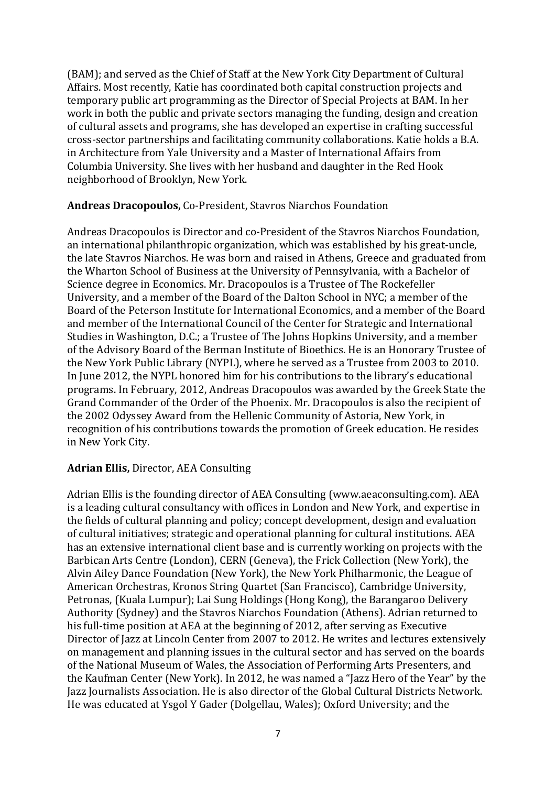(BAM); and served as the Chief of Staff at the New York City Department of Cultural Affairs. Most recently, Katie has coordinated both capital construction projects and temporary public art programming as the Director of Special Projects at BAM. In her work in both the public and private sectors managing the funding, design and creation of cultural assets and programs, she has developed an expertise in crafting successful cross-sector partnerships and facilitating community collaborations. Katie holds a B.A. in Architecture from Yale University and a Master of International Affairs from Columbia University. She lives with her husband and daughter in the Red Hook neighborhood of Brooklyn, New York.

### **Andreas Dracopoulos,** Co-President, Stavros Niarchos Foundation

Andreas Dracopoulos is Director and co-President of the Stavros Niarchos Foundation, an international philanthropic organization, which was established by his great-uncle, the late Stavros Niarchos. He was born and raised in Athens, Greece and graduated from the Wharton School of Business at the University of Pennsylvania, with a Bachelor of Science degree in Economics. Mr. Dracopoulos is a Trustee of The Rockefeller University, and a member of the Board of the Dalton School in NYC; a member of the Board of the Peterson Institute for International Economics, and a member of the Board and member of the International Council of the Center for Strategic and International Studies in Washington, D.C.; a Trustee of The Johns Hopkins University, and a member of the Advisory Board of the Berman Institute of Bioethics. He is an Honorary Trustee of the New York Public Library (NYPL), where he served as a Trustee from 2003 to 2010. In June 2012, the NYPL honored him for his contributions to the library's educational programs. In February, 2012, Andreas Dracopoulos was awarded by the Greek State the Grand Commander of the Order of the Phoenix. Mr. Dracopoulos is also the recipient of the 2002 Odyssey Award from the Hellenic Community of Astoria, New York, in recognition of his contributions towards the promotion of Greek education. He resides in New York City.

## **Adrian Ellis,** Director, AEA Consulting

Adrian Ellis is the founding director of AEA Consulting [\(www.aeaconsulting.com\)](http://www.aeaconsulting.com/). AEA is a leading cultural consultancy with offices in London and New York, and expertise in the fields of cultural planning and policy; concept development, design and evaluation of cultural initiatives; strategic and operational planning for cultural institutions. AEA has an extensive international client base and is currently working on projects with the Barbican Arts Centre (London), CERN (Geneva), the Frick Collection (New York), the Alvin Ailey Dance Foundation (New York), the New York Philharmonic, the League of American Orchestras, Kronos String Quartet (San Francisco), Cambridge University, Petronas, (Kuala Lumpur); Lai Sung Holdings (Hong Kong), the Barangaroo Delivery Authority (Sydney) and the Stavros Niarchos Foundation (Athens). Adrian returned to his full-time position at AEA at the beginning of 2012, after serving as Executive Director of Jazz at Lincoln Center from 2007 to 2012. He writes and lectures extensively on management and planning issues in the cultural sector and has served on the boards of the National Museum of Wales, the Association of Performing Arts Presenters, and the Kaufman Center (New York). In 2012, he was named a "Jazz Hero of the Year" by the Jazz Journalists Association. He is also director of the Global Cultural Districts Network. He was educated at Ysgol Y Gader (Dolgellau, Wales); Oxford University; and the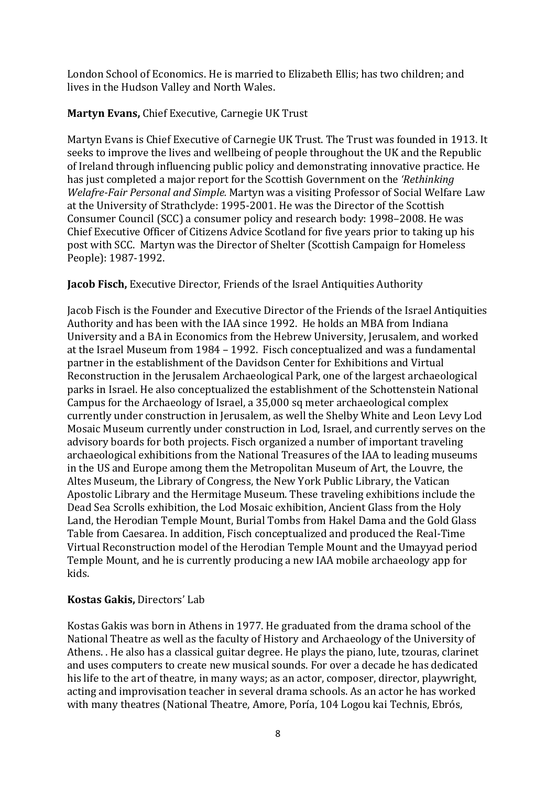London School of Economics. He is married to Elizabeth Ellis; has two children; and lives in the Hudson Valley and North Wales.

## **Martyn Evans,** Chief Executive, Carnegie UK Trust

Martyn Evans is Chief Executive of Carnegie UK Trust. The Trust was founded in 1913. It seeks to improve the lives and wellbeing of people throughout the UK and the Republic of Ireland through influencing public policy and demonstrating innovative practice. He has just completed a major report for the Scottish Government on the *'Rethinking Welafre-Fair Personal and Simple.* Martyn was a visiting Professor of Social Welfare Law at the University of Strathclyde: 1995-2001. He was the Director of the Scottish Consumer Council (SCC) a consumer policy and research body: 1998–2008. He was Chief Executive Officer of Citizens Advice Scotland for five years prior to taking up his post with SCC. Martyn was the Director of Shelter (Scottish Campaign for Homeless People): 1987-1992.

## **Jacob Fisch,** Executive Director, Friends of the Israel Antiquities Authority

Jacob Fisch is the Founder and Executive Director of the Friends of the Israel Antiquities Authority and has been with the IAA since 1992. He holds an MBA from Indiana University and a BA in Economics from the Hebrew University, Jerusalem, and worked at the Israel Museum from 1984 – 1992. Fisch conceptualized and was a fundamental partner in the establishment of the Davidson Center for Exhibitions and Virtual Reconstruction in the Jerusalem Archaeological Park, one of the largest archaeological parks in Israel. He also conceptualized the establishment of the Schottenstein National Campus for the Archaeology of Israel, a 35,000 sq meter archaeological complex currently under construction in Jerusalem, as well the Shelby White and Leon Levy Lod Mosaic Museum currently under construction in Lod, Israel, and currently serves on the advisory boards for both projects. Fisch organized a number of important traveling archaeological exhibitions from the National Treasures of the IAA to leading museums in the US and Europe among them the Metropolitan Museum of Art, the Louvre, the Altes Museum, the Library of Congress, the New York Public Library, the Vatican Apostolic Library and the Hermitage Museum. These traveling exhibitions include the Dead Sea Scrolls exhibition, the Lod Mosaic exhibition, Ancient Glass from the Holy Land, the Herodian Temple Mount, Burial Tombs from Hakel Dama and the Gold Glass Table from Caesarea. In addition, Fisch conceptualized and produced the Real-Time Virtual Reconstruction model of the Herodian Temple Mount and the Umayyad period Temple Mount, and he is currently producing a new IAA mobile archaeology app for kids.

## **Kostas Gakis,** Directors' Lab

Kostas Gakis was born in Athens in 1977. He graduated from the drama school of the National Theatre as well as the faculty of History and Archaeology of the University of Athens. . He also has a classical guitar degree. He plays the piano, lute, tzouras, clarinet and uses computers to create new musical sounds. For over a decade he has dedicated his life to the art of theatre, in many ways; as an actor, composer, director, playwright, acting and improvisation teacher in several drama schools. As an actor he has worked with many theatres (National Theatre, Amore, Poría, 104 Logou kai Technis, Ebrós,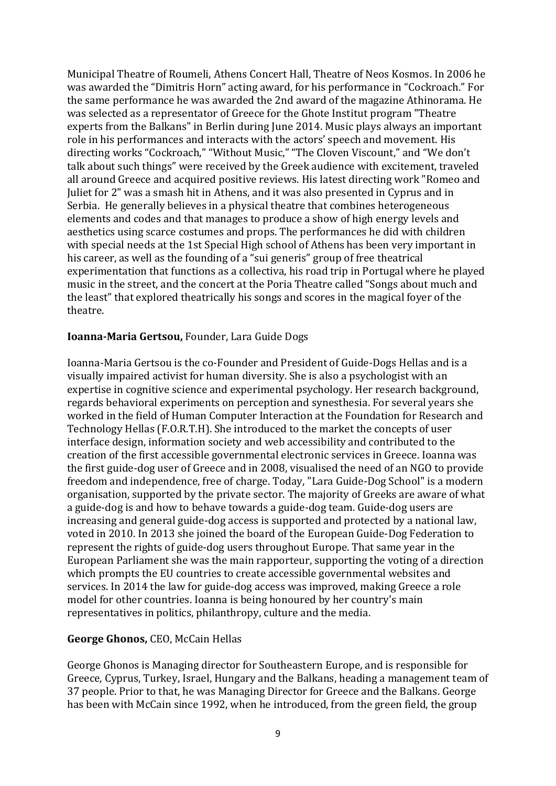Municipal Theatre of Roumeli, Athens Concert Hall, Theatre of Neos Kosmos. In 2006 he was awarded the "Dimitris Horn" acting award, for his performance in "Cockroach." For the same performance he was awarded the 2nd award of the magazine Athinorama. He was selected as a representator of Greece for the Ghote Institut program "Theatre experts from the Balkans" in Berlin during June 2014. Music plays always an important role in his performances and interacts with the actors' speech and movement. His directing works "Cockroach," "Without Music," "The Cloven Viscount," and "We don't talk about such things" were received by the Greek audience with excitement, traveled all around Greece and acquired positive reviews. His latest directing work "Romeo and Juliet for 2" was a smash hit in Athens, and it was also presented in Cyprus and in Serbia. He generally believes in a physical theatre that combines heterogeneous elements and codes and that manages to produce a show of high energy levels and aesthetics using scarce costumes and props. The performances he did with children with special needs at the 1st Special High school of Athens has been very important in his career, as well as the founding of a "sui generis" group of free theatrical experimentation that functions as a collectiva, his road trip in Portugal where he played music in the street, and the concert at the Poria Theatre called "Songs about much and the least" that explored theatrically his songs and scores in the magical foyer of the theatre.

#### **Ioanna-Maria Gertsou,** Founder, Lara Guide Dogs

Ioanna-Maria Gertsou is the co-Founder and President of Guide-Dogs Hellas and is a visually impaired activist for human diversity. She is also a psychologist with an expertise in cognitive science and experimental psychology. Her research background, regards behavioral experiments on perception and synesthesia. For several years she worked in the field of Human Computer Interaction at the Foundation for Research and Technology Hellas (F.O.R.T.H). She introduced to the market the concepts of user interface design, information society and web accessibility and contributed to the creation of the first accessible governmental electronic services in Greece. Ioanna was the first guide-dog user of Greece and in 2008, visualised the need of an NGO to provide freedom and independence, free of charge. Today, "Lara Guide-Dog School" is a modern organisation, supported by the private sector. The majority of Greeks are aware of what a guide-dog is and how to behave towards a guide-dog team. Guide-dog users are increasing and general guide-dog access is supported and protected by a national law, voted in 2010. In 2013 she joined the board of the European Guide-Dog Federation to represent the rights of guide-dog users throughout Europe. That same year in the European Parliament she was the main rapporteur, supporting the voting of a direction which prompts the EU countries to create accessible governmental websites and services. In 2014 the law for guide-dog access was improved, making Greece a role model for other countries. Ioanna is being honoured by her country's main representatives in politics, philanthropy, culture and the media.

### **George Ghonos,** CEO, McCain Hellas

George Ghonos is Managing director for Southeastern Europe, and is responsible for Greece, Cyprus, Turkey, Israel, Hungary and the Balkans, heading a management team of 37 people. Prior to that, he was Managing Director for Greece and the Balkans. George has been with McCain since 1992, when he introduced, from the green field, the group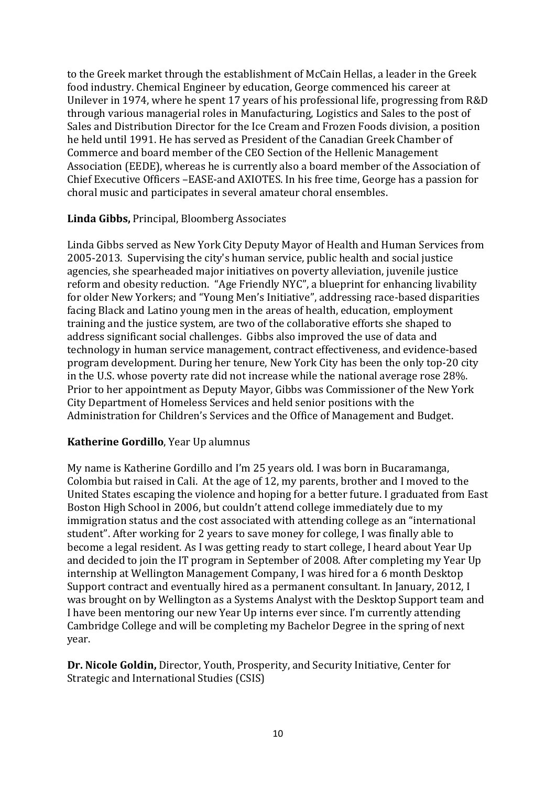to the Greek market through the establishment of McCain Hellas, a leader in the Greek food industry. Chemical Engineer by education, George commenced his career at Unilever in 1974, where he spent 17 years of his professional life, progressing from R&D through various managerial roles in Manufacturing, Logistics and Sales to the post of Sales and Distribution Director for the Ice Cream and Frozen Foods division, a position he held until 1991. He has served as President of the Canadian Greek Chamber of Commerce and board member of the CEO Section of the Hellenic Management Association (EEDE), whereas he is currently also a board member of the Association of Chief Executive Officers –EASE-and AXIOTES. In his free time, George has a passion for choral music and participates in several amateur choral ensembles.

## **Linda Gibbs,** Principal, Bloomberg Associates

Linda Gibbs served as New York City Deputy Mayor of Health and Human Services from 2005-2013. Supervising the city's human service, public health and social justice agencies, she spearheaded major initiatives on poverty alleviation, juvenile justice reform and obesity reduction. "Age Friendly NYC", a blueprint for enhancing livability for older New Yorkers; and "Young Men's Initiative", addressing race-based disparities facing Black and Latino young men in the areas of health, education, employment training and the justice system, are two of the collaborative efforts she shaped to address significant social challenges. Gibbs also improved the use of data and technology in human service management, contract effectiveness, and evidence-based program development. During her tenure, New York City has been the only top-20 city in the U.S. whose poverty rate did not increase while the national average rose 28%. Prior to her appointment as Deputy Mayor, Gibbs was Commissioner of the New York City Department of Homeless Services and held senior positions with the Administration for Children's Services and the Office of Management and Budget.

## **Katherine Gordillo**, Year Up alumnus

My name is Katherine Gordillo and I'm 25 years old. I was born in Bucaramanga, Colombia but raised in Cali. At the age of 12, my parents, brother and I moved to the United States escaping the violence and hoping for a better future. I graduated from East Boston High School in 2006, but couldn't attend college immediately due to my immigration status and the cost associated with attending college as an "international student". After working for 2 years to save money for college, I was finally able to become a legal resident. As I was getting ready to start college, I heard about Year Up and decided to join the IT program in September of 2008. After completing my Year Up internship at Wellington Management Company, I was hired for a 6 month Desktop Support contract and eventually hired as a permanent consultant. In January, 2012, I was brought on by Wellington as a Systems Analyst with the Desktop Support team and I have been mentoring our new Year Up interns ever since. I'm currently attending Cambridge College and will be completing my Bachelor Degree in the spring of next year.

**Dr. Nicole Goldin,** Director, Youth, Prosperity, and Security Initiative, Center for Strategic and International Studies (CSIS)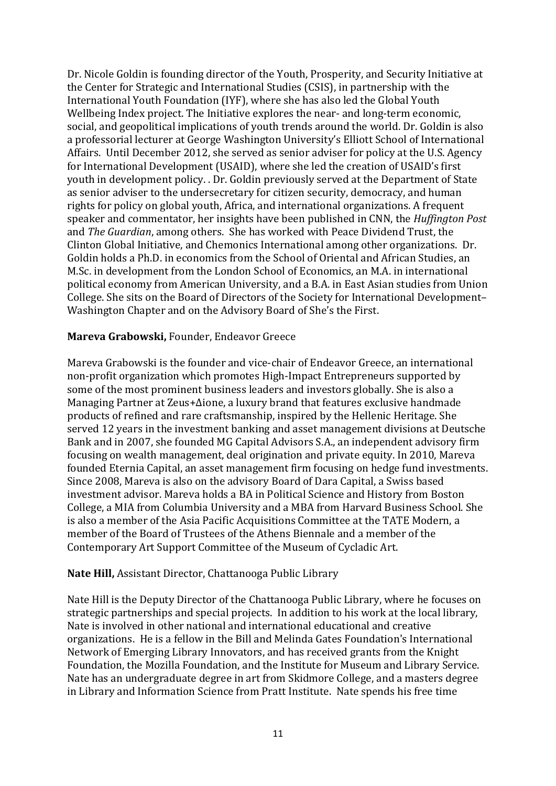Dr. Nicole Goldin is founding director of the Youth, Prosperity, and Security Initiative at the Center for Strategic and International Studies (CSIS), in partnership with the International Youth Foundation (IYF), where she has also led the Global Youth Wellbeing Index project. The Initiative explores the near- and long-term economic, social, and geopolitical implications of youth trends around the world. Dr. Goldin is also a professorial lecturer at George Washington University's Elliott School of International Affairs. Until December 2012, she served as senior adviser for policy at the U.S. Agency for International Development (USAID), where she led the creation of USAID's first youth in development policy. . Dr. Goldin previously served at the Department of State as senior adviser to the undersecretary for citizen security, democracy, and human rights for policy on global youth, Africa, and international organizations. A frequent speaker and commentator, her insights have been published in CNN, the *Huffington Post* and *The Guardian*, among others. She has worked with Peace Dividend Trust, the Clinton Global Initiative, and Chemonics International among other organizations. Dr. Goldin holds a Ph.D. in economics from the School of Oriental and African Studies, an M.Sc. in development from the London School of Economics, an M.A. in international political economy from American University, and a B.A. in East Asian studies from Union College. She sits on the Board of Directors of the Society for International Development– Washington Chapter and on the Advisory Board of She's the First.

#### **Mareva Grabowski,** Founder, Endeavor Greece

Mareva Grabowski is the founder and vice-chair of Endeavor Greece, an international non-profit organization which promotes High-Impact Entrepreneurs supported by some of the most prominent business leaders and investors globally. She is also a Managing Partner at Zeus+Δione, a luxury brand that features exclusive handmade products of refined and rare craftsmanship, inspired by the Hellenic Heritage. She served 12 years in the investment banking and asset management divisions at Deutsche Bank and in 2007, she founded MG Capital Advisors S.A., an independent advisory firm focusing on wealth management, deal origination and private equity. In 2010, Mareva founded Eternia Capital, an asset management firm focusing on hedge fund investments. Since 2008, Mareva is also on the advisory Board of Dara Capital, a Swiss based investment advisor. Mareva holds a BA in Political Science and History from Boston College, a MIA from Columbia University and a MBA from Harvard Business School. She is also a member of the Asia Pacific Acquisitions Committee at the TATE Modern, a member of the Board of Trustees of the Athens Biennale and a member of the Contemporary Art Support Committee of the Museum of Cycladic Art.

#### **Nate Hill,** Assistant Director, Chattanooga Public Library

Nate Hill is the Deputy Director of the Chattanooga Public Library, where he focuses on strategic partnerships and special projects. In addition to his work at the local library, Nate is involved in other national and international educational and creative organizations. He is a fellow in the Bill and Melinda Gates Foundation's International Network of Emerging Library Innovators, and has received grants from the Knight Foundation, the Mozilla Foundation, and the Institute for Museum and Library Service. Nate has an undergraduate degree in art from Skidmore College, and a masters degree in Library and Information Science from Pratt Institute. Nate spends his free time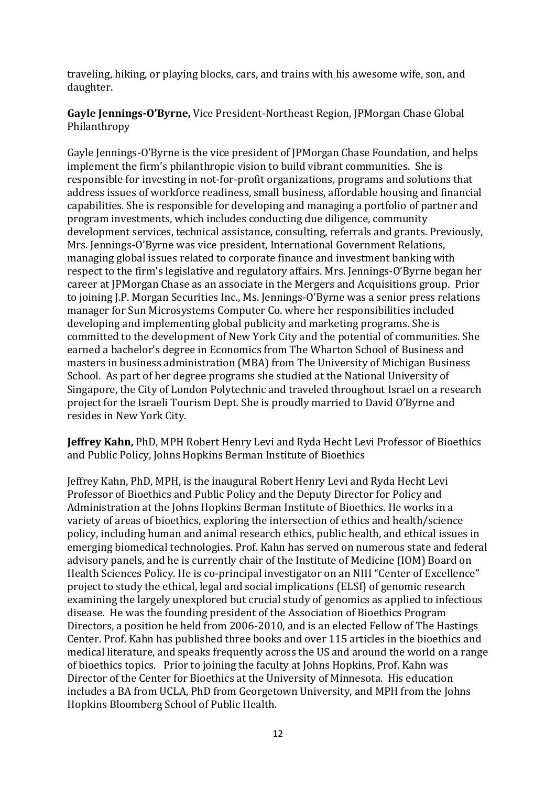traveling, hiking, or playing blocks, cars, and trains with his awesome wife, son, and daughter.

**Gayle Jennings-O'Byrne,** Vice President-Northeast Region, JPMorgan Chase Global Philanthropy

Gayle Jennings-O'Byrne is the vice president of JPMorgan Chase Foundation, and helps implement the firm's philanthropic vision to build vibrant communities. She is responsible for investing in not-for-profit organizations, programs and solutions that address issues of workforce readiness, small business, affordable housing and financial capabilities. She is responsible for developing and managing a portfolio of partner and program investments, which includes conducting due diligence, community development services, technical assistance, consulting, referrals and grants. Previously, Mrs. Jennings-O'Byrne was vice president, International Government Relations, managing global issues related to corporate finance and investment banking with respect to the firm's legislative and regulatory affairs. Mrs. Jennings-O'Byrne began her career at JPMorgan Chase as an associate in the Mergers and Acquisitions group. Prior to joining J.P. Morgan Securities Inc., Ms. Jennings-O'Byrne was a senior press relations manager for Sun Microsystems Computer Co. where her responsibilities included developing and implementing global publicity and marketing programs. She is committed to the development of New York City and the potential of communities. She earned a bachelor's degree in Economics from The Wharton School of Business and masters in business administration (MBA) from The University of Michigan Business School. As part of her degree programs she studied at the National University of Singapore, the City of London Polytechnic and traveled throughout Israel on a research project for the Israeli Tourism Dept. She is proudly married to David O'Byrne and resides in New York City.

**Jeffrey Kahn,** PhD, MPH Robert Henry Levi and Ryda Hecht Levi Professor of Bioethics and Public Policy, Johns Hopkins Berman Institute of Bioethics

Jeffrey Kahn, PhD, MPH, is the inaugural Robert Henry Levi and Ryda Hecht Levi Professor of Bioethics and Public Policy and the Deputy Director for Policy and Administration at the Johns Hopkins Berman Institute of Bioethics. He works in a variety of areas of bioethics, exploring the intersection of ethics and health/science policy, including human and animal research ethics, public health, and ethical issues in emerging biomedical technologies. Prof. Kahn has served on numerous state and federal advisory panels, and he is currently chair of the Institute of Medicine (IOM) Board on Health Sciences Policy. He is co-principal investigator on an NIH "Center of Excellence" project to study the ethical, legal and social implications (ELSI) of genomic research examining the largely unexplored but crucial study of genomics as applied to infectious disease. He was the founding president of the Association of Bioethics Program Directors, a position he held from 2006-2010, and is an elected Fellow of The Hastings Center. Prof. Kahn has published three books and over 115 articles in the bioethics and medical literature, and speaks frequently across the US and around the world on a range of bioethics topics. Prior to joining the faculty at Johns Hopkins, Prof. Kahn was Director of the Center for Bioethics at the University of Minnesota. His education includes a BA from UCLA, PhD from Georgetown University, and MPH from the Johns Hopkins Bloomberg School of Public Health.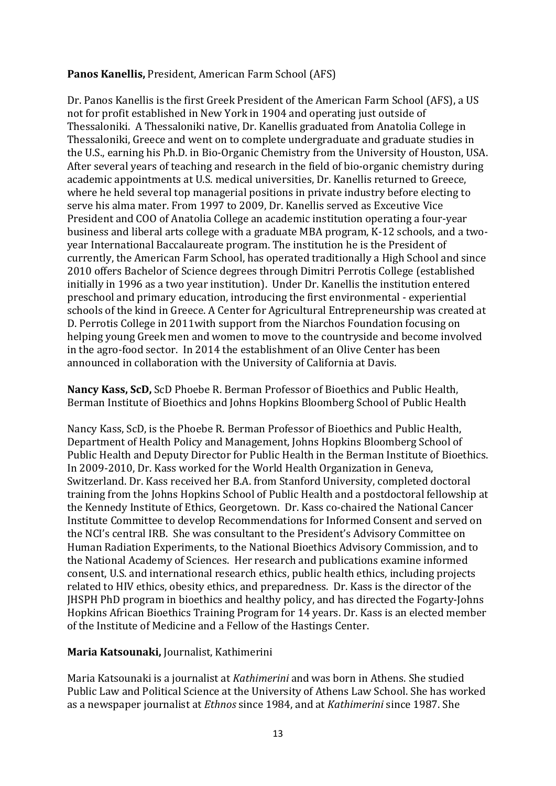### **Panos Kanellis,** President, American Farm School (AFS)

Dr. Panos Kanellis is the first Greek President of the American Farm School (AFS), a US not for profit established in New York in 1904 and operating just outside of Thessaloniki. A Thessaloniki native, Dr. Kanellis graduated from Anatolia College in Thessaloniki, Greece and went on to complete undergraduate and graduate studies in the U.S., earning his Ph.D. in Bio-Organic Chemistry from the University of Houston, USA. After several years of teaching and research in the field of bio-organic chemistry during academic appointments at U.S. medical universities, Dr. Kanellis returned to Greece, where he held several top managerial positions in private industry before electing to serve his alma mater. From 1997 to 2009, Dr. Kanellis served as Exceutive Vice President and COO of Anatolia College an academic institution operating a four-year business and liberal arts college with a graduate MBA program, K-12 schools, and a twoyear International Baccalaureate program. The institution he is the President of currently, the American Farm School, has operated traditionally a High School and since 2010 offers Bachelor of Science degrees through Dimitri Perrotis College (established initially in 1996 as a two year institution). Under Dr. Kanellis the institution entered preschool and primary education, introducing the first environmental - experiential schools of the kind in Greece. A Center for Agricultural Entrepreneurship was created at D. Perrotis College in 2011with support from the Niarchos Foundation focusing on helping young Greek men and women to move to the countryside and become involved in the agro-food sector. In 2014 the establishment of an Olive Center has been announced in collaboration with the University of California at Davis.

**Nancy Kass, ScD,** ScD Phoebe R. Berman Professor of Bioethics and Public Health, Berman Institute of Bioethics and Johns Hopkins Bloomberg School of Public Health

Nancy Kass, ScD, is the Phoebe R. Berman Professor of Bioethics and Public Health, Department of Health Policy and Management, Johns Hopkins Bloomberg School of Public Health and Deputy Director for Public Health in the Berman Institute of Bioethics. In 2009-2010, Dr. Kass worked for the World Health Organization in Geneva, Switzerland. Dr. Kass received her B.A. from Stanford University, completed doctoral training from the Johns Hopkins School of Public Health and a postdoctoral fellowship at the Kennedy Institute of Ethics, Georgetown. Dr. Kass co-chaired the National Cancer Institute Committee to develop Recommendations for Informed Consent and served on the NCI's central IRB. She was consultant to the President's Advisory Committee on Human Radiation Experiments, to the National Bioethics Advisory Commission, and to the National Academy of Sciences. Her research and publications examine informed consent, U.S. and international research ethics, public health ethics, including projects related to HIV ethics, obesity ethics, and preparedness. Dr. Kass is the director of the JHSPH PhD program in bioethics and healthy policy, and has directed the Fogarty-Johns Hopkins African Bioethics Training Program for 14 years. Dr. Kass is an elected member of the Institute of Medicine and a Fellow of the Hastings Center.

### **Maria Katsounaki,** Journalist, Kathimerini

Maria Katsounaki is a journalist at *Kathimerini* and was born in Athens. She studied Public Law and Political Science at the University of Athens Law School. She has worked as a newspaper journalist at *Ethnos* since 1984, and at *Kathimerini* since 1987. She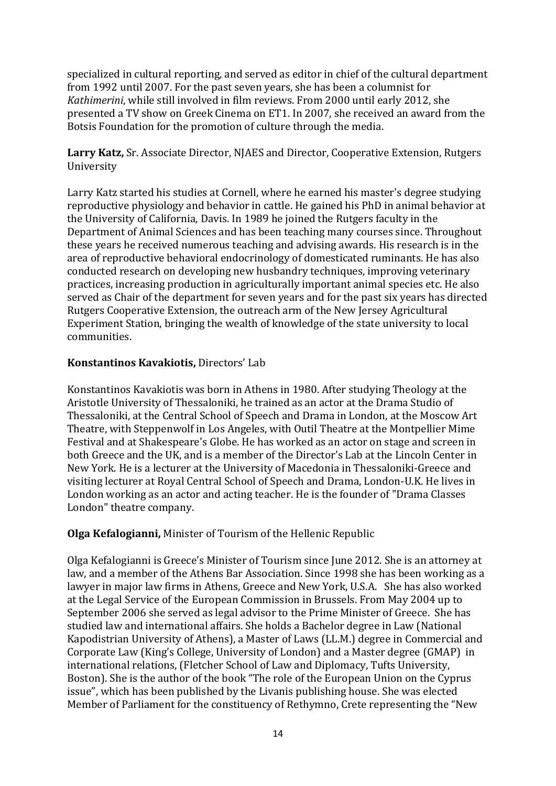specialized in cultural reporting, and served as editor in chief of the cultural department from 1992 until 2007. For the past seven years, she has been a columnist for *Kathimerini*, while still involved in film reviews. From 2000 until early 2012, she presented a TV show on Greek Cinema on ET1. In 2007, she received an award from the Botsis Foundation for the promotion of culture through the media.

**Larry Katz,** Sr. Associate Director, NJAES and Director, Cooperative Extension, Rutgers University

Larry Katz started his studies at Cornell, where he earned his master's degree studying reproductive physiology and behavior in cattle. He gained his PhD in animal behavior at the University of California, Davis. In 1989 he joined the Rutgers faculty in the Department of Animal Sciences and has been teaching many courses since. Throughout these years he received numerous teaching and advising awards. His research is in the area of reproductive behavioral endocrinology of domesticated ruminants. He has also conducted research on developing new husbandry techniques, improving veterinary practices, increasing production in agriculturally important animal species etc. He also served as Chair of the department for seven years and for the past six years has directed Rutgers Cooperative Extension, the outreach arm of the New Jersey Agricultural Experiment Station, bringing the wealth of knowledge of the state university to local communities.

## **Konstantinos Kavakiotis,** Directors' Lab

Konstantinos Kavakiotis was born in Athens in 1980. After studying Theology at the Aristotle University of Thessaloniki, he trained as an actor at the Drama Studio of Thessaloniki, at the Central School of Speech and Drama in London, at the Moscow Art Theatre, with Steppenwolf in Los Angeles, with Outil Theatre at the Montpellier Mime Festival and at Shakespeare's Globe. He has worked as an actor on stage and screen in both Greece and the UK, and is a member of the Director's Lab at the Lincoln Center in New York. He is a lecturer at the University of Macedonia in Thessaloniki-Greece and visiting lecturer at Royal Central School of Speech and Drama, London-U.K. He lives in London working as an actor and acting teacher. He is the founder of "Drama Classes London" theatre company.

### **Olga Kefalogianni,** Minister of Tourism of the Hellenic Republic

Olga Kefalogianni is Greece's Minister of Tourism since June 2012. She is an attorney at law, and a member of the Athens Bar Association. Since 1998 she has been working as a lawyer in major law firms in Athens, Greece and New York, U.S.A. She has also worked at the Legal Service of the European Commission in Brussels. From May 2004 up to September 2006 she served as legal advisor to the Prime Minister of Greece. She has studied law and international affairs. She holds a Bachelor degree in Law (National Kapodistrian University of Athens), a Master of Laws (LL.M.) degree in Commercial and Corporate Law (King's College, University of London) and a Master degree (GMAP) in international relations, (Fletcher School of Law and Diplomacy, Tufts University, Boston). She is the author of the book "The role of the European Union on the Cyprus issue", which has been published by the Livanis publishing house. She was elected Member of Parliament for the constituency of Rethymno, Crete representing the "New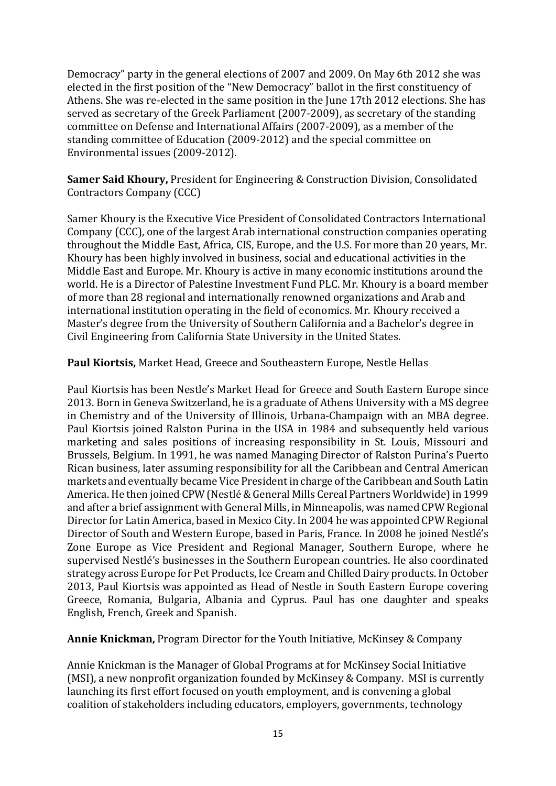Democracy" party in the general elections of 2007 and 2009. On May 6th 2012 she was elected in the first position of the "New Democracy" ballot in the first constituency of Athens. She was re-elected in the same position in the June 17th 2012 elections. She has served as secretary of the Greek Parliament (2007-2009), as secretary of the standing committee on Defense and International Affairs (2007-2009), as a member of the standing committee of Education (2009-2012) and the special committee on Environmental issues (2009-2012).

**Samer Said Khoury,** President for Engineering & Construction Division, Consolidated Contractors Company (CCC)

Samer Khoury is the Executive Vice President of Consolidated Contractors International Company (CCC), one of the largest Arab international construction companies operating throughout the Middle East, Africa, CIS, Europe, and the U.S. For more than 20 years, Mr. Khoury has been highly involved in business, social and educational activities in the Middle East and Europe. Mr. Khoury is active in many economic institutions around the world. He is a Director of Palestine Investment Fund PLC. Mr. Khoury is a board member of more than 28 regional and internationally renowned organizations and Arab and international institution operating in the field of economics. Mr. Khoury received a Master's degree from the University of Southern California and a Bachelor's degree in Civil Engineering from California State University in the United States.

**Paul Kiortsis,** Market Head, Greece and Southeastern Europe, Nestle Hellas

Paul Kiortsis has been Nestle's Market Head for Greece and South Eastern Europe since 2013. Born in Geneva Switzerland, he is a graduate of Athens University with a MS degree in Chemistry and of the University of Illinois, Urbana-Champaign with an MBA degree. Paul Kiortsis joined Ralston Purina in the USA in 1984 and subsequently held various marketing and sales positions of increasing responsibility in St. Louis, Missouri and Brussels, Belgium. In 1991, he was named Managing Director of Ralston Purina's Puerto Rican business, later assuming responsibility for all the Caribbean and Central American markets and eventually became Vice President in charge of the Caribbean and South Latin America. He then joined CPW (Nestlé & General Mills Cereal Partners Worldwide) in 1999 and after a brief assignment with General Mills, in Minneapolis, was named CPW Regional Director for Latin America, based in Mexico City. In 2004 he was appointed CPW Regional Director of South and Western Europe, based in Paris, France. In 2008 he joined Nestlé's Zone Europe as Vice President and Regional Manager, Southern Europe, where he supervised Nestlé's businesses in the Southern European countries. He also coordinated strategy across Europe for Pet Products, Ice Cream and Chilled Dairy products. In October 2013, Paul Kiortsis was appointed as Head of Nestle in South Eastern Europe covering Greece, Romania, Bulgaria, Albania and Cyprus. Paul has one daughter and speaks English, French, Greek and Spanish.

**Annie Knickman,** Program Director for the Youth Initiative, McKinsey & Company

Annie Knickman is the Manager of Global Programs at for McKinsey Social Initiative (MSI), a new nonprofit organization founded by McKinsey & Company. MSI is currently launching its first effort focused on youth employment, and is convening a global coalition of stakeholders including educators, employers, governments, technology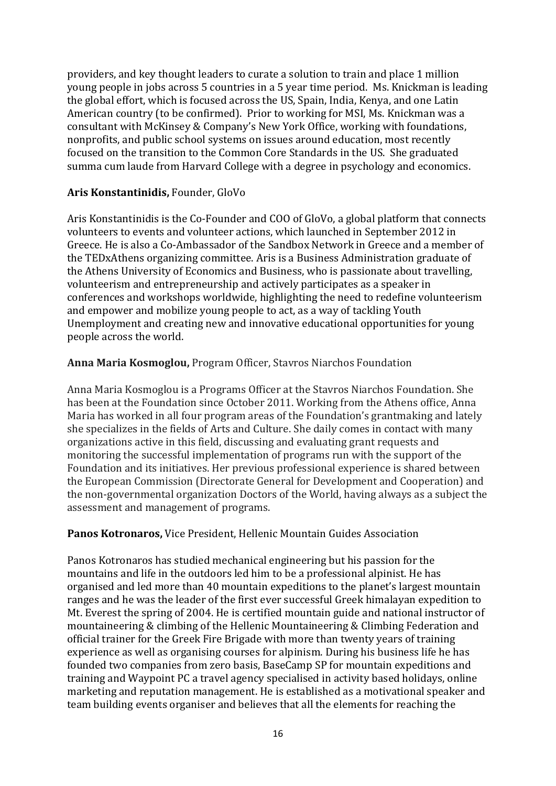providers, and key thought leaders to curate a solution to train and place 1 million young people in jobs across 5 countries in a 5 year time period. Ms. Knickman is leading the global effort, which is focused across the US, Spain, India, Kenya, and one Latin American country (to be confirmed). Prior to working for MSI, Ms. Knickman was a consultant with McKinsey & Company's New York Office, working with foundations, nonprofits, and public school systems on issues around education, most recently focused on the transition to the Common Core Standards in the US. She graduated summa cum laude from Harvard College with a degree in psychology and economics.

### **Aris Konstantinidis,** Founder, GloVo

Aris Konstantinidis is the Co-Founder and COO of GloVo, a global platform that connects volunteers to events and volunteer actions, which launched in September 2012 in Greece. He is also a Co-Ambassador of the Sandbox Network in Greece and a member of the TEDxAthens organizing committee. Aris is a Business Administration graduate of the Athens University of Economics and Business, who is passionate about travelling, volunteerism and entrepreneurship and actively participates as a speaker in conferences and workshops worldwide, highlighting the need to redefine volunteerism and empower and mobilize young people to act, as a way of tackling Youth Unemployment and creating new and innovative educational opportunities for young people across the world.

### **Anna Maria Kosmoglou,** Program Officer, Stavros Niarchos Foundation

Anna Maria Kosmoglou is a Programs Officer at the Stavros Niarchos Foundation. She has been at the Foundation since October 2011. Working from the Athens office, Anna Maria has worked in all four program areas of the Foundation's grantmaking and lately she specializes in the fields of Arts and Culture. She daily comes in contact with many organizations active in this field, discussing and evaluating grant requests and monitoring the successful implementation of programs run with the support of the Foundation and its initiatives. Her previous professional experience is shared between the European Commission (Directorate General for Development and Cooperation) and the non-governmental organization Doctors of the World, having always as a subject the assessment and management of programs.

### **Panos Kotronaros,** Vice President, Hellenic Mountain Guides Association

Panos Kotronaros has studied mechanical engineering but his passion for the mountains and life in the outdoors led him to be a professional alpinist. He has organised and led more than 40 mountain expeditions to the planet's largest mountain ranges and he was the leader of the first ever successful Greek himalayan expedition to Mt. Everest the spring of 2004. He is certified mountain guide and national instructor of mountaineering & climbing of the Hellenic Mountaineering & Climbing Federation and official trainer for the Greek Fire Brigade with more than twenty years of training experience as well as organising courses for alpinism. During his business life he has founded two companies from zero basis, BaseCamp SP for mountain expeditions and training and Waypoint PC a travel agency specialised in activity based holidays, online marketing and reputation management. He is established as a motivational speaker and team building events organiser and believes that all the elements for reaching the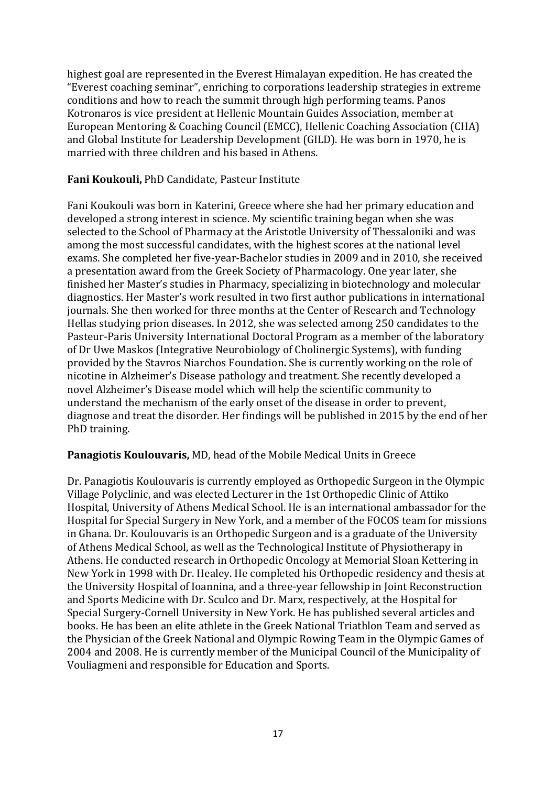highest goal are represented in the Everest Himalayan expedition. He has created the "Everest coaching seminar", enriching to corporations leadership strategies in extreme conditions and how to reach the summit through high performing teams. Panos Kotronaros is vice president at Hellenic Mountain Guides Association, member at European Mentoring & Coaching Council (EMCC), Hellenic Coaching Association (CHA) and Global Institute for Leadership Development (GILD). He was born in 1970, he is married with three children and his based in Athens.

### **Fani Koukouli,** PhD Candidate, Pasteur Institute

Fani Koukouli was born in Katerini, Greece where she had her primary education and developed a strong interest in science. My scientific training began when she was selected to the School of Pharmacy at the Aristotle University of Thessaloniki and was among the most successful candidates, with the highest scores at the national level exams. She completed her five-year-Bachelor studies in 2009 and in 2010, she received a presentation award from the Greek Society of Pharmacology. One year later, she finished her Master's studies in Pharmacy, specializing in biotechnology and molecular diagnostics. Her Master's work resulted in two first author publications in international journals. She then worked for three months at the Center of Research and Technology Hellas studying prion diseases. In 2012, she was selected among 250 candidates to the Pasteur-Paris University International Doctoral Program as a member of the laboratory of Dr Uwe Maskos (Integrative Neurobiology of Cholinergic Systems), with funding provided by the Stavros Niarchos Foundation**.** She is currently working on the role of nicotine in Alzheimer's Disease pathology and treatment. She recently developed a novel Alzheimer's Disease model which will help the scientific community to understand the mechanism of the early onset of the disease in order to prevent, diagnose and treat the disorder. Her findings will be published in 2015 by the end of her PhD training.

### **Panagiotis Koulouvaris,** MD, head of the Mobile Medical Units in Greece

Dr. Panagiotis Koulouvaris is currently employed as Orthopedic Surgeon in the Olympic Village Polyclinic, and was elected Lecturer in the 1st Orthopedic Clinic of Attiko Hospital, University of Athens Medical School. He is an international ambassador for the Hospital for Special Surgery in New York, and a member of the FOCOS team for missions in Ghana. Dr. Koulouvaris is an Orthopedic Surgeon and is a graduate of the University of Athens Medical School, as well as the Technological Institute of Physiotherapy in Athens. He conducted research in Orthopedic Oncology at Memorial Sloan Kettering in New York in 1998 with Dr. Healey. He completed his Orthopedic residency and thesis at the University Hospital of Ioannina, and a three-year fellowship in Joint Reconstruction and Sports Medicine with Dr. Sculco and Dr. Marx, respectively, at the Hospital for Special Surgery-Cornell University in New York. He has published several articles and books. He has been an elite athlete in the Greek National Triathlon Team and served as the Physician of the Greek National and Olympic Rowing Team in the Olympic Games of 2004 and 2008. He is currently member of the Municipal Council of the Municipality of Vouliagmeni and responsible for Education and Sports.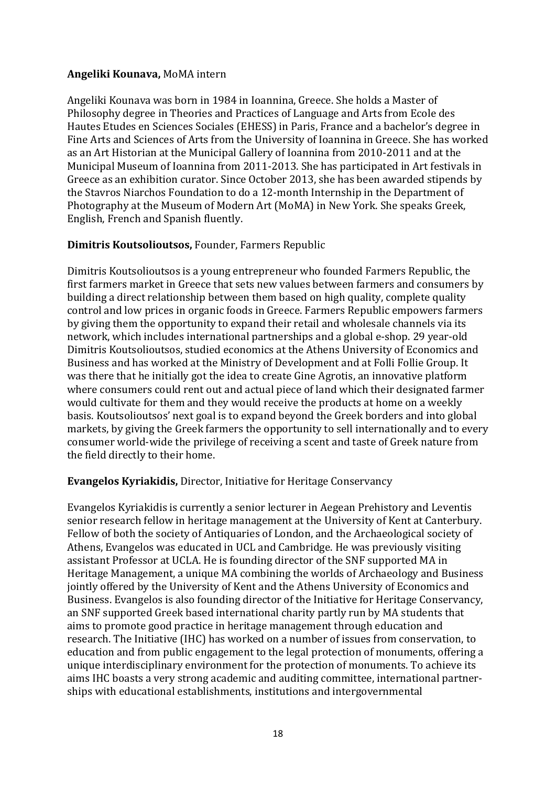### **Angeliki Kounava,** MoMA intern

Angeliki Kounava was born in 1984 in Ioannina, Greece. She holds a Master of Philosophy degree in Theories and Practices of Language and Arts from Ecole des Hautes Etudes en Sciences Sociales (EHESS) in Paris, France and a bachelor's degree in Fine Arts and Sciences of Arts from the University of Ioannina in Greece. She has worked as an Art Historian at the Municipal Gallery of Ioannina from 2010-2011 and at the Municipal Museum of Ioannina from 2011-2013. She has participated in Art festivals in Greece as an exhibition curator. Since October 2013, she has been awarded stipends by the Stavros Niarchos Foundation to do a 12-month Internship in the Department of Photography at the Museum of Modern Art (MoMA) in New York. She speaks Greek, English, French and Spanish fluently.

## **Dimitris Koutsolioutsos,** Founder, Farmers Republic

Dimitris Koutsolioutsos is a young entrepreneur who founded Farmers Republic, the first farmers market in Greece that sets new values between farmers and consumers by building a direct relationship between them based on high quality, complete quality control and low prices in organic foods in Greece. Farmers Republic empowers farmers by giving them the opportunity to expand their retail and wholesale channels via its network, which includes international partnerships and a global e-shop. 29 year-old Dimitris Koutsolioutsos, studied economics at the Athens University of Economics and Business and has worked at the Ministry of Development and at Folli Follie Group. It was there that he initially got the idea to create Gine Agrotis, an innovative platform where consumers could rent out and actual piece of land which their designated farmer would cultivate for them and they would receive the products at home on a weekly basis. Koutsolioutsos' next goal is to expand beyond the Greek borders and into global markets, by giving the Greek farmers the opportunity to sell internationally and to every consumer world-wide the privilege of receiving a scent and taste of Greek nature from the field directly to their home.

### **Evangelos Kyriakidis,** Director, Initiative for Heritage Conservancy

Evangelos Kyriakidis is currently a senior lecturer in Aegean Prehistory and Leventis senior research fellow in heritage management at the University of Kent at Canterbury. Fellow of both the society of Antiquaries of London, and the Archaeological society of Athens, Evangelos was educated in UCL and Cambridge. He was previously visiting assistant Professor at UCLA. He is founding director of the SNF supported MA in Heritage Management, a unique MA combining the worlds of Archaeology and Business jointly offered by the University of Kent and the Athens University of Economics and Business. Evangelos is also founding director of the Initiative for Heritage Conservancy, an SNF supported Greek based international charity partly run by MA students that aims to promote good practice in heritage management through education and research. The Initiative (IHC) has worked on a number of issues from conservation, to education and from public engagement to the legal protection of monuments, offering a unique interdisciplinary environment for the protection of monuments. To achieve its aims IHC boasts a very strong academic and auditing committee, international partnerships with educational establishments, institutions and intergovernmental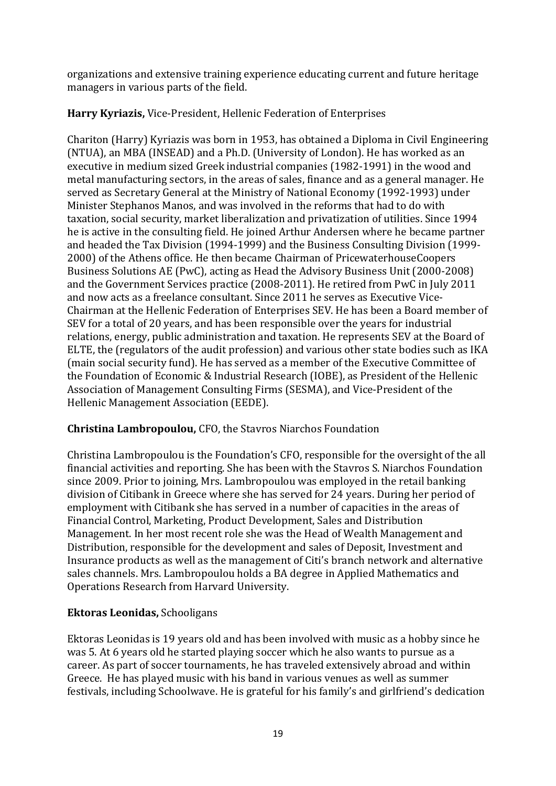organizations and extensive training experience educating current and future heritage managers in various parts of the field.

# **Harry Kyriazis,** Vice-President, Hellenic Federation of Enterprises

Chariton (Harry) Kyriazis was born in 1953, has obtained a Diploma in Civil Engineering (NTUA), an MBA (INSEAD) and a Ph.D. (University of London). He has worked as an executive in medium sized Greek industrial companies (1982-1991) in the wood and metal manufacturing sectors, in the areas of sales, finance and as a general manager. He served as Secretary General at the Ministry of National Economy (1992-1993) under Minister Stephanos Manos, and was involved in the reforms that had to do with taxation, social security, market liberalization and privatization of utilities. Since 1994 he is active in the consulting field. He joined Arthur Andersen where he became partner and headed the Tax Division (1994-1999) and the Business Consulting Division (1999- 2000) of the Athens office. He then became Chairman of PricewaterhouseCoopers Business Solutions AE (PwC), acting as Head the Advisory Business Unit (2000-2008) and the Government Services practice (2008-2011). He retired from PwC in July 2011 and now acts as a freelance consultant. Since 2011 he serves as Executive Vice-Chairman at the Hellenic Federation of Enterprises SEV. He has been a Board member of SEV for a total of 20 years, and has been responsible over the years for industrial relations, energy, public administration and taxation. He represents SEV at the Board of ELTE, the (regulators of the audit profession) and various other state bodies such as IKA (main social security fund). He has served as a member of the Executive Committee of the Foundation of Economic & Industrial Research (IOBE), as President of the Hellenic Association of Management Consulting Firms (SESMA), and Vice-President of the Hellenic Management Association (EEDE).

# **Christina Lambropoulou,** CFO, the Stavros Niarchos Foundation

Christina Lambropoulou is the Foundation's CFO, responsible for the oversight of the all financial activities and reporting. She has been with the Stavros S. Niarchos Foundation since 2009. Prior to joining, Mrs. Lambropoulou was employed in the retail banking division of Citibank in Greece where she has served for 24 years. During her period of employment with Citibank she has served in a number of capacities in the areas of Financial Control, Marketing, Product Development, Sales and Distribution Management. In her most recent role she was the Head of Wealth Management and Distribution, responsible for the development and sales of Deposit, Investment and Insurance products as well as the management of Citi's branch network and alternative sales channels. Mrs. Lambropoulou holds a BA degree in Applied Mathematics and Operations Research from Harvard University.

## **Ektoras Leonidas,** Schooligans

Ektoras Leonidas is 19 years old and has been involved with music as a hobby since he was 5. At 6 years old he started playing soccer which he also wants to pursue as a career. As part of soccer tournaments, he has traveled extensively abroad and within Greece. He has played music with his band in various venues as well as summer festivals, including Schoolwave. He is grateful for his family's and girlfriend's dedication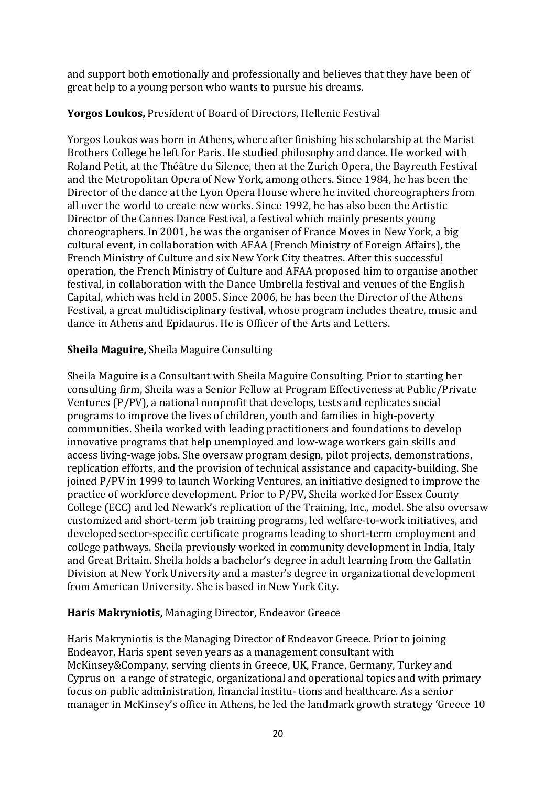and support both emotionally and professionally and believes that they have been of great help to a young person who wants to pursue his dreams.

## **Yorgos Loukos,** President of Board of Directors, Hellenic Festival

Yorgos Loukos was born in Athens, where after finishing his scholarship at the Marist Brothers College he left for Paris. He studied philosophy and dance. He worked with Roland Petit, at the Théâtre du Silence, then at the Zurich Opera, the Bayreuth Festival and the Metropolitan Opera of New York, among others. Since 1984, he has been the Director of the dance at the Lyon Opera House where he invited choreographers from all over the world to create new works. Since 1992, he has also been the Artistic Director of the Cannes Dance Festival, a festival which mainly presents young choreographers. In 2001, he was the organiser of France Moves in New York, a big cultural event, in collaboration with AFAA (French Ministry of Foreign Affairs), the French Ministry of Culture and six New York City theatres. After this successful operation, the French Ministry of Culture and AFAA proposed him to organise another festival, in collaboration with the Dance Umbrella festival and venues of the English Capital, which was held in 2005. Since 2006, he has been the Director of the Athens Festival, a great multidisciplinary festival, whose program includes theatre, music and dance in Athens and Epidaurus. He is Officer of the Arts and Letters.

## **Sheila Maguire,** Sheila Maguire Consulting

Sheila Maguire is a Consultant with Sheila Maguire Consulting. Prior to starting her consulting firm, Sheila was a Senior Fellow at Program Effectiveness at Public/Private Ventures (P/PV), a national nonprofit that develops, tests and replicates social programs to improve the lives of children, youth and families in high-poverty communities. Sheila worked with leading practitioners and foundations to develop innovative programs that help unemployed and low-wage workers gain skills and access living-wage jobs. She oversaw program design, pilot projects, demonstrations, replication efforts, and the provision of technical assistance and capacity-building. She joined P/PV in 1999 to launch Working Ventures, an initiative designed to improve the practice of workforce development. Prior to P/PV, Sheila worked for Essex County College (ECC) and led Newark's replication of the Training, Inc., model. She also oversaw customized and short-term job training programs, led welfare-to-work initiatives, and developed sector-specific certificate programs leading to short-term employment and college pathways. Sheila previously worked in community development in India, Italy and Great Britain. Sheila holds a bachelor's degree in adult learning from the Gallatin Division at New York University and a master's degree in organizational development from American University. She is based in New York City.

### **Haris Makryniotis,** Managing Director, Endeavor Greece

Haris Makryniotis is the Managing Director of Endeavor Greece. Prior to joining Endeavor, Haris spent seven years as a management consultant with McKinsey&Company, serving clients in Greece, UK, France, Germany, Turkey and Cyprus on a range of strategic, organizational and operational topics and with primary focus on public administration, financial institu- tions and healthcare. As a senior manager in McKinsey's office in Athens, he led the landmark growth strategy 'Greece 10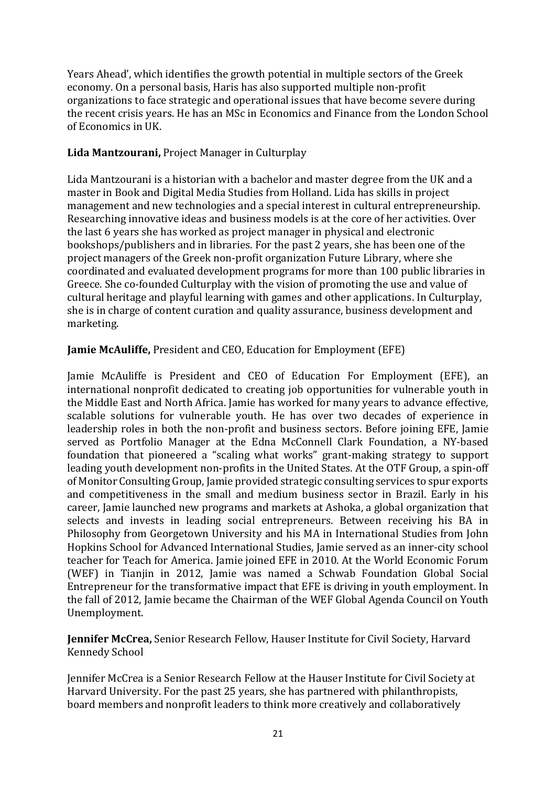Years Ahead', which identifies the growth potential in multiple sectors of the Greek economy. On a personal basis, Haris has also supported multiple non-profit organizations to face strategic and operational issues that have become severe during the recent crisis years. He has an MSc in Economics and Finance from the London School of Economics in UK.

## **Lida Mantzourani,** Project Manager in Culturplay

Lida Mantzourani is a historian with a bachelor and master degree from the UK and a master in Book and Digital Media Studies from Holland. Lida has skills in project management and new technologies and a special interest in cultural entrepreneurship. Researching innovative ideas and business models is at the core of her activities. Over the last 6 years she has worked as project manager in physical and electronic bookshops/publishers and in libraries. For the past 2 years, she has been one of the project managers of the Greek non-profit organization Future Library, where she coordinated and evaluated development programs for more than 100 public libraries in Greece. She co-founded Culturplay with the vision of promoting the use and value of cultural heritage and playful learning with games and other applications. In Culturplay, she is in charge of content curation and quality assurance, business development and marketing.

## **Jamie McAuliffe,** President and CEO, Education for Employment (EFE)

Jamie McAuliffe is President and CEO of Education For Employment (EFE), an international nonprofit dedicated to creating job opportunities for vulnerable youth in the Middle East and North Africa. Jamie has worked for many years to advance effective, scalable solutions for vulnerable youth. He has over two decades of experience in leadership roles in both the non-profit and business sectors. Before joining EFE, Jamie served as Portfolio Manager at the Edna McConnell Clark Foundation, a NY-based foundation that pioneered a "scaling what works" grant-making strategy to support leading youth development non-profits in the United States. At the OTF Group, a spin-off of Monitor Consulting Group, Jamie provided strategic consulting services to spur exports and competitiveness in the small and medium business sector in Brazil. Early in his career, Jamie launched new programs and markets at Ashoka, a global organization that selects and invests in leading social entrepreneurs. Between receiving his BA in Philosophy from Georgetown University and his MA in International Studies from John Hopkins School for Advanced International Studies, Jamie served as an inner-city school teacher for Teach for America. Jamie joined EFE in 2010. At the World Economic Forum (WEF) in Tianjin in 2012, Jamie was named a Schwab Foundation Global Social Entrepreneur for the transformative impact that EFE is driving in youth employment. In the fall of 2012, Jamie became the Chairman of the WEF Global Agenda Council on Youth Unemployment.

**Jennifer McCrea,** Senior Research Fellow, Hauser Institute for Civil Society, Harvard Kennedy School

Jennifer McCrea is a Senior Research Fellow at the Hauser Institute for Civil Society at Harvard University. For the past 25 years, she has partnered with philanthropists, board members and nonprofit leaders to think more creatively and collaboratively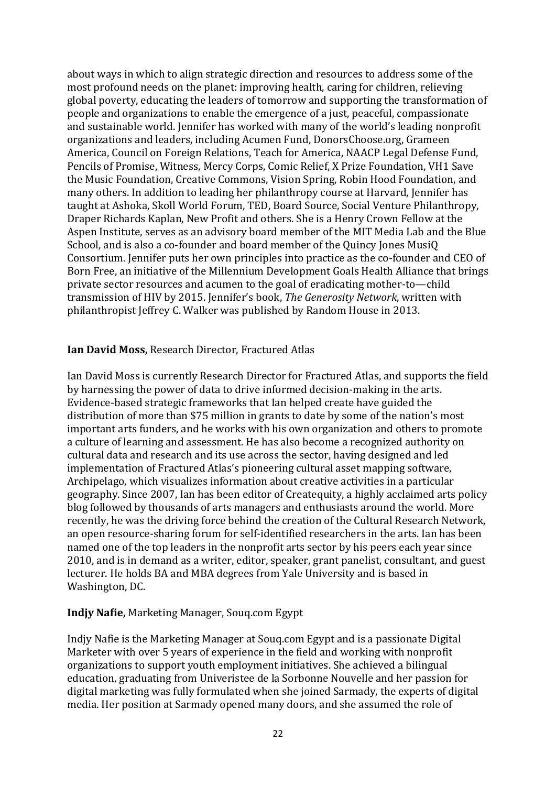about ways in which to align strategic direction and resources to address some of the most profound needs on the planet: improving health, caring for children, relieving global poverty, educating the leaders of tomorrow and supporting the transformation of people and organizations to enable the emergence of a just, peaceful, compassionate and sustainable world. Jennifer has worked with many of the world's leading nonprofit organizations and leaders, including Acumen Fund, DonorsChoose.org, Grameen America, Council on Foreign Relations, Teach for America, NAACP Legal Defense Fund, Pencils of Promise, Witness, Mercy Corps, Comic Relief, X Prize Foundation, VH1 Save the Music Foundation, Creative Commons, Vision Spring, Robin Hood Foundation, and many others. In addition to leading her philanthropy course at Harvard, Jennifer has taught at Ashoka, Skoll World Forum, TED, Board Source, Social Venture Philanthropy, Draper Richards Kaplan, New Profit and others. She is a Henry Crown Fellow at the Aspen Institute, serves as an advisory board member of the MIT Media Lab and the Blue School, and is also a co-founder and board member of the Quincy Jones MusiQ Consortium. Jennifer puts her own principles into practice as the co-founder and CEO of Born Free, an initiative of the Millennium Development Goals Health Alliance that brings private sector resources and acumen to the goal of eradicating mother-to—child transmission of HIV by 2015. Jennifer's book, *The Generosity Network*, written with philanthropist Jeffrey C. Walker was published by Random House in 2013.

### **Ian David Moss,** Research Director, Fractured Atlas

Ian David Moss is currently Research Director for Fractured Atlas, and supports the field by harnessing the power of data to drive informed decision-making in the arts. Evidence-based strategic frameworks that Ian helped create have guided the distribution of more than \$75 million in grants to date by some of the nation's most important arts funders, and he works with his own organization and others to promote a culture of learning and assessment. He has also become a recognized authority on cultural data and research and its use across the sector, having designed and led implementation of Fractured Atlas's pioneering cultural asset mapping software, Archipelago, which visualizes information about creative activities in a particular geography. Since 2007, Ian has been editor of Createquity, a highly acclaimed arts policy blog followed by thousands of arts managers and enthusiasts around the world. More recently, he was the driving force behind the creation of the Cultural Research Network, an open resource-sharing forum for self-identified researchers in the arts. Ian has been named one of the top leaders in the nonprofit arts sector by his peers each year since 2010, and is in demand as a writer, editor, speaker, grant panelist, consultant, and guest lecturer. He holds BA and MBA degrees from Yale University and is based in Washington, DC.

### **Indjy Nafie,** Marketing Manager, Souq.com Egypt

Indjy Nafie is the Marketing Manager at Souq.com Egypt and is a passionate Digital Marketer with over 5 years of experience in the field and working with nonprofit organizations to support youth employment initiatives. She achieved a bilingual education, graduating from Univeristee de la Sorbonne Nouvelle and her passion for digital marketing was fully formulated when she joined Sarmady, the experts of digital media. Her position at Sarmady opened many doors, and she assumed the role of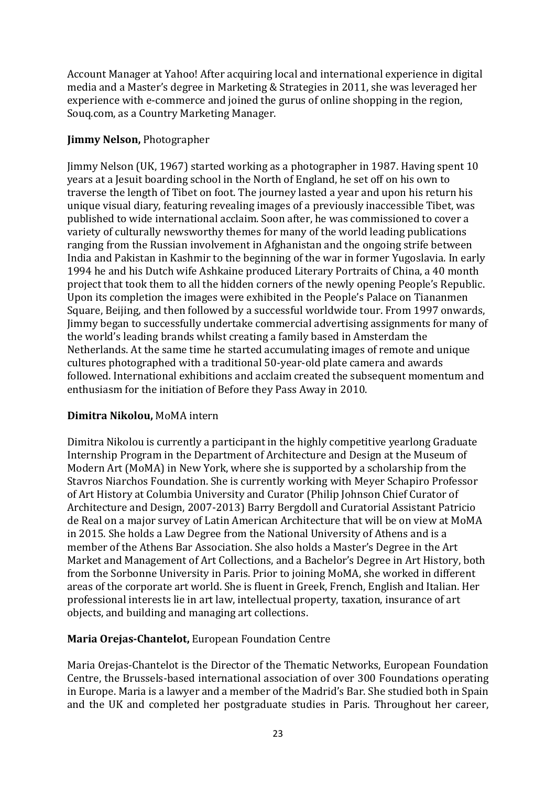Account Manager at Yahoo! After acquiring local and international experience in digital media and a Master's degree in Marketing & Strategies in 2011, she was leveraged her experience with e-commerce and joined the gurus of online shopping in the region, Souq.com, as a Country Marketing Manager.

## **Jimmy Nelson,** Photographer

Jimmy Nelson (UK, 1967) started working as a photographer in 1987. Having spent 10 years at a Jesuit boarding school in the North of England, he set off on his own to traverse the length of Tibet on foot. The journey lasted a year and upon his return his unique visual diary, featuring revealing images of a previously inaccessible Tibet, was published to wide international acclaim. Soon after, he was commissioned to cover a variety of culturally newsworthy themes for many of the world leading publications ranging from the Russian involvement in Afghanistan and the ongoing strife between India and Pakistan in Kashmir to the beginning of the war in former Yugoslavia. In early 1994 he and his Dutch wife Ashkaine produced Literary Portraits of China, a 40 month project that took them to all the hidden corners of the newly opening People's Republic. Upon its completion the images were exhibited in the People's Palace on Tiananmen Square, Beijing, and then followed by a successful worldwide tour. From 1997 onwards, Jimmy began to successfully undertake commercial advertising assignments for many of the world's leading brands whilst creating a family based in Amsterdam the Netherlands. At the same time he started accumulating images of remote and unique cultures photographed with a traditional 50-year-old plate camera and awards followed. International exhibitions and acclaim created the subsequent momentum and enthusiasm for the initiation of Before they Pass Away in 2010.

## **Dimitra Nikolou,** MoMA intern

Dimitra Nikolou is currently a participant in the highly competitive yearlong Graduate Internship Program in the Department of Architecture and Design at the Museum of Modern Art (MoMA) in New York, where she is supported by a scholarship from the Stavros Niarchos Foundation. She is currently working with Meyer Schapiro Professor of Art History at Columbia University and Curator (Philip Johnson Chief Curator of Architecture and Design, 2007-2013) Barry Bergdoll and Curatorial Assistant Patricio de Real on a major survey of Latin American Architecture that will be on view at MoMA in 2015. She holds a Law Degree from the National University of Athens and is a member of the Athens Bar Association. She also holds a Master's Degree in the Art Market and Management of Art Collections, and a Bachelor's Degree in Art History, both from the Sorbonne University in Paris. Prior to joining MoMA, she worked in different areas of the corporate art world. She is fluent in Greek, French, English and Italian. Her professional interests lie in art law, intellectual property, taxation, insurance of art objects, and building and managing art collections.

## **Maria Orejas-Chantelot,** European Foundation Centre

Maria Orejas-Chantelot is the Director of the Thematic Networks, European Foundation Centre, the Brussels-based international association of over 300 Foundations operating in Europe. Maria is a lawyer and a member of the Madrid's Bar. She studied both in Spain and the UK and completed her postgraduate studies in Paris. Throughout her career,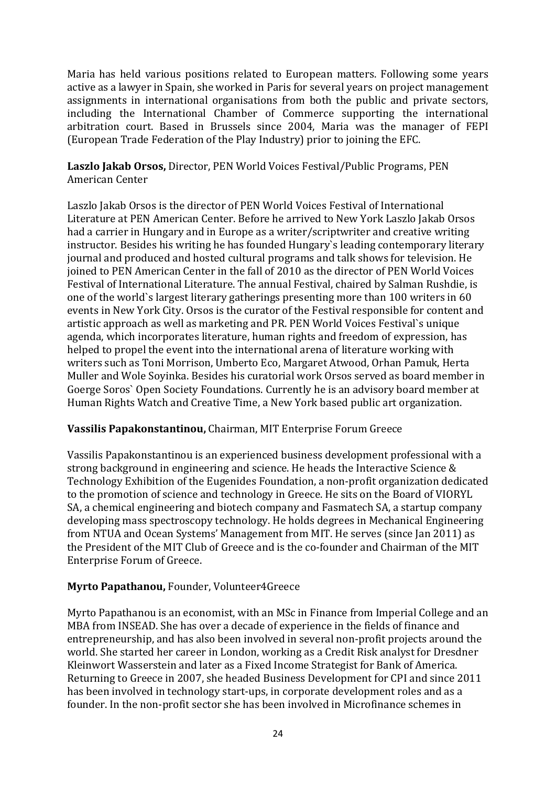Maria has held various positions related to European matters. Following some years active as a lawyer in Spain, she worked in Paris for several years on project management assignments in international organisations from both the public and private sectors, including the International Chamber of Commerce supporting the international arbitration court. Based in Brussels since 2004, Maria was the manager of FEPI (European Trade Federation of the Play Industry) prior to joining the EFC.

**Laszlo Jakab Orsos,** Director, PEN World Voices Festival/Public Programs, PEN American Center

Laszlo Jakab Orsos is the director of PEN World Voices Festival of International Literature at PEN American Center. Before he arrived to New York Laszlo Jakab Orsos had a carrier in Hungary and in Europe as a writer/scriptwriter and creative writing instructor. Besides his writing he has founded Hungary`s leading contemporary literary journal and produced and hosted cultural programs and talk shows for television. He joined to PEN American Center in the fall of 2010 as the director of PEN World Voices Festival of International Literature. The annual Festival, chaired by Salman Rushdie, is one of the world`s largest literary gatherings presenting more than 100 writers in 60 events in New York City. Orsos is the curator of the Festival responsible for content and artistic approach as well as marketing and PR. PEN World Voices Festival`s unique agenda, which incorporates literature, human rights and freedom of expression, has helped to propel the event into the international arena of literature working with writers such as Toni Morrison, Umberto Eco, Margaret Atwood, Orhan Pamuk, Herta Muller and Wole Soyinka. Besides his curatorial work Orsos served as board member in Goerge Soros` Open Society Foundations. Currently he is an advisory board member at Human Rights Watch and Creative Time, a New York based public art organization.

## **Vassilis Papakonstantinou,** Chairman, MIT Enterprise Forum Greece

Vassilis Papakonstantinou is an experienced business development professional with a strong background in engineering and science. He heads the Interactive Science & Technology Exhibition of the Eugenides Foundation, a non-profit organization dedicated to the promotion of science and technology in Greece. He sits on the Board of VIORYL SA, a chemical engineering and biotech company and Fasmatech SA, a startup company developing mass spectroscopy technology. He holds degrees in Mechanical Engineering from NTUA and Ocean Systems' Management from MIT. He serves (since Jan 2011) as the President of the MIT Club of Greece and is the co-founder and Chairman of the MIT Enterprise Forum of Greece.

### **Myrto Papathanou,** Founder, Volunteer4Greece

Myrto Papathanou is an economist, with an MSc in Finance from Imperial College and an MBA from INSEAD. She has over a decade of experience in the fields of finance and entrepreneurship, and has also been involved in several non-profit projects around the world. She started her career in London, working as a Credit Risk analyst for Dresdner Kleinwort Wasserstein and later as a Fixed Income Strategist for Bank of America. Returning to Greece in 2007, she headed Business Development for CPI and since 2011 has been involved in technology start-ups, in corporate development roles and as a founder. In the non-profit sector she has been involved in Microfinance schemes in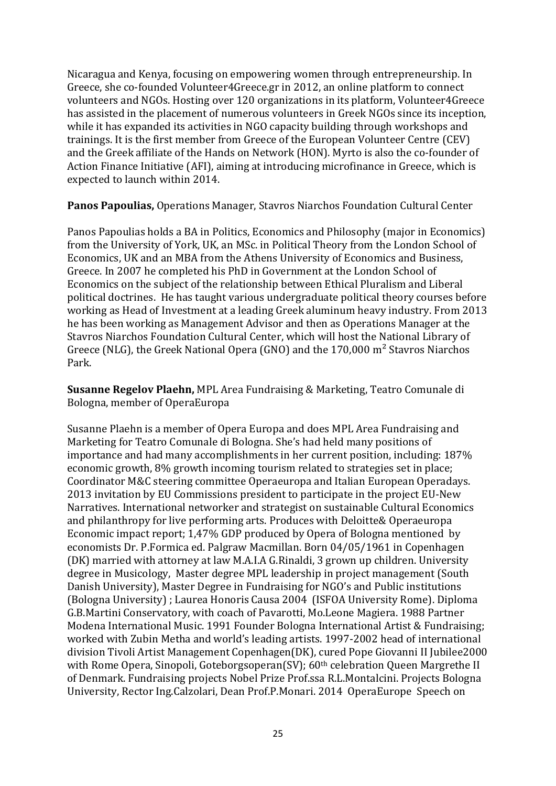Nicaragua and Kenya, focusing on empowering women through entrepreneurship. In Greece, she co-founded Volunteer4Greece.gr in 2012, an online platform to connect volunteers and NGOs. Hosting over 120 organizations in its platform, Volunteer4Greece has assisted in the placement of numerous volunteers in Greek NGOs since its inception, while it has expanded its activities in NGO capacity building through workshops and trainings. It is the first member from Greece of the European Volunteer Centre (CEV) and the Greek affiliate of the Hands on Network (HON). Myrto is also the co-founder of Action Finance Initiative (AFI), aiming at introducing microfinance in Greece, which is expected to launch within 2014.

**Panos Papoulias,** Operations Manager, Stavros Niarchos Foundation Cultural Center

Panos Papoulias holds a BA in Politics, Economics and Philosophy (major in Economics) from the University of York, UK, an MSc. in Political Theory from the London School of Economics, UK and an MBA from the Athens University of Economics and Business, Greece. In 2007 he completed his PhD in Government at the London School of Economics on the subject of the relationship between Ethical Pluralism and Liberal political doctrines. He has taught various undergraduate political theory courses before working as Head of Investment at a leading Greek aluminum heavy industry. From 2013 he has been working as Management Advisor and then as Operations Manager at the Stavros Niarchos Foundation Cultural Center, which will host the National Library of Greece (NLG), the Greek National Opera (GNO) and the 170,000 m² Stavros Niarchos Park.

**Susanne Regelov Plaehn,** MPL Area Fundraising & Marketing, Teatro Comunale di Bologna, member of OperaEuropa

Susanne Plaehn is a member of Opera Europa and does MPL Area Fundraising and Marketing for Teatro Comunale di Bologna. She's had held many positions of importance and had many accomplishments in her current position, including: 187% economic growth, 8% growth incoming tourism related to strategies set in place; Coordinator M&C steering committee Operaeuropa and Italian European Operadays. 2013 invitation by EU Commissions president to participate in the project EU-New Narratives. International networker and strategist on sustainable Cultural Economics and philanthropy for live performing arts. Produces with Deloitte& Operaeuropa Economic impact report; 1,47% GDP produced by Opera of Bologna mentioned by economists Dr. P.Formica ed. Palgraw Macmillan. Born 04/05/1961 in Copenhagen (DK) married with attorney at law M.A.I.A G.Rinaldi, 3 grown up children. University degree in Musicology, Master degree MPL leadership in project management (South Danish University), Master Degree in Fundraising for NGO's and Public institutions (Bologna University) ; Laurea Honoris Causa 2004 (ISFOA University Rome). Diploma G.B.Martini Conservatory, with coach of Pavarotti, Mo.Leone Magiera. 1988 Partner Modena International Music. 1991 Founder Bologna International Artist & Fundraising; worked with Zubin Metha and world's leading artists. 1997-2002 head of international division Tivoli Artist Management Copenhagen(DK), cured Pope Giovanni II Jubilee2000 with Rome Opera, Sinopoli, Goteborgsoperan(SV); 60<sup>th</sup> celebration Queen Margrethe II of Denmark. Fundraising projects Nobel Prize Prof.ssa R.L.Montalcini. Projects Bologna University, Rector Ing.Calzolari, Dean Prof.P.Monari. 2014 OperaEurope Speech on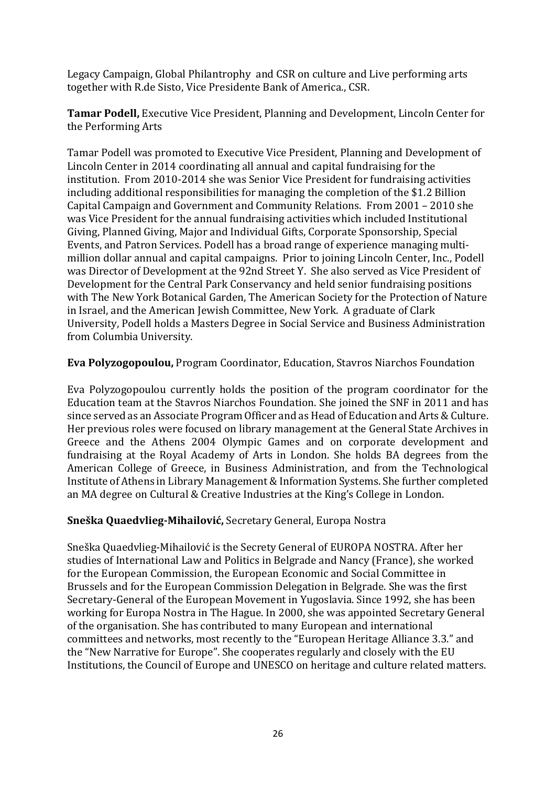Legacy Campaign, Global Philantrophy and CSR on culture and Live performing arts together with R.de Sisto, Vice Presidente Bank of America., CSR.

**Tamar Podell,** Executive Vice President, Planning and Development, Lincoln Center for the Performing Arts

Tamar Podell was promoted to Executive Vice President, Planning and Development of Lincoln Center in 2014 coordinating all annual and capital fundraising for the institution. From 2010-2014 she was Senior Vice President for fundraising activities including additional responsibilities for managing the completion of the \$1.2 Billion Capital Campaign and Government and Community Relations. From 2001 – 2010 she was Vice President for the annual fundraising activities which included Institutional Giving, Planned Giving, Major and Individual Gifts, Corporate Sponsorship, Special Events, and Patron Services. Podell has a broad range of experience managing multimillion dollar annual and capital campaigns. Prior to joining Lincoln Center, Inc., Podell was Director of Development at the 92nd Street Y. She also served as Vice President of Development for the Central Park Conservancy and held senior fundraising positions with The New York Botanical Garden, The American Society for the Protection of Nature in Israel, and the American Jewish Committee, New York. A graduate of Clark University, Podell holds a Masters Degree in Social Service and Business Administration from Columbia University.

**Eva Polyzogopoulou,** Program Coordinator, Education, Stavros Niarchos Foundation

Eva Polyzogopoulou currently holds the position of the program coordinator for the Education team at the Stavros Niarchos Foundation. She joined the SNF in 2011 and has since served as an Associate Program Officer and as Head of Education and Arts & Culture. Her previous roles were focused on library management at the General State Archives in Greece and the Athens 2004 Olympic Games and on corporate development and fundraising at the Royal Academy of Arts in London. She holds BA degrees from the American College of Greece, in Business Administration, and from the Technological Institute of Athens in Library Management & Information Systems. She further completed an MA degree on Cultural & Creative Industries at the King's College in London.

### **Sneška Quaedvlieg-Mihailović,** Secretary General, Europa Nostra

Sneška Quaedvlieg-Mihailović is the Secrety General of EUROPA NOSTRA. After her studies of International Law and Politics in Belgrade and Nancy (France), she worked for the European Commission, the European Economic and Social Committee in Brussels and for the European Commission Delegation in Belgrade. She was the first Secretary-General of the European Movement in Yugoslavia. Since 1992, she has been working for Europa Nostra in The Hague. In 2000, she was appointed Secretary General of the organisation. She has contributed to many European and international committees and networks, most recently to the "European Heritage Alliance 3.3." and the "New Narrative for Europe". She cooperates regularly and closely with the EU Institutions, the Council of Europe and UNESCO on heritage and culture related matters.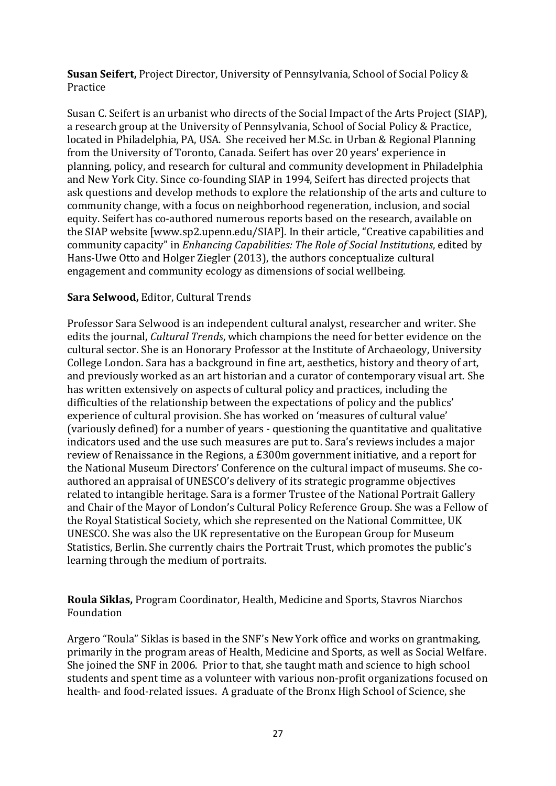**Susan Seifert,** Project Director, University of Pennsylvania, School of Social Policy & Practice

Susan C. Seifert is an urbanist who directs of the Social Impact of the Arts Project (SIAP), a research group at the University of Pennsylvania, School of Social Policy & Practice, located in Philadelphia, PA, USA. She received her M.Sc. in Urban & Regional Planning from the University of Toronto, Canada. Seifert has over 20 years' experience in planning, policy, and research for cultural and community development in Philadelphia and New York City. Since co-founding SIAP in 1994, Seifert has directed projects that ask questions and develop methods to explore the relationship of the arts and culture to community change, with a focus on neighborhood regeneration, inclusion, and social equity. Seifert has co-authored numerous reports based on the research, available on the SIAP website [www.sp2.upenn.edu/SIAP]. In their article, "Creative capabilities and community capacity" in *Enhancing Capabilities: The Role of Social Institutions*, edited by Hans-Uwe Otto and Holger Ziegler (2013), the authors conceptualize cultural engagement and community ecology as dimensions of social wellbeing.

## **Sara Selwood,** Editor, Cultural Trends

Professor Sara Selwood is an independent cultural analyst, researcher and writer. She edits the journal, *Cultural Trends*, which champions the need for better evidence on the cultural sector. She is an Honorary Professor at the Institute of Archaeology, University College London. Sara has a background in fine art, aesthetics, history and theory of art, and previously worked as an art historian and a curator of contemporary visual art. She has written extensively on aspects of cultural policy and practices, including the difficulties of the relationship between the expectations of policy and the publics' experience of cultural provision. She has worked on 'measures of cultural value' (variously defined) for a number of years - questioning the quantitative and qualitative indicators used and the use such measures are put to. Sara's reviews includes a major review of Renaissance in the Regions, a £300m government initiative, and a report for the National Museum Directors' Conference on the cultural impact of museums. She coauthored an appraisal of UNESCO's delivery of its strategic programme objectives related to intangible heritage. Sara is a former Trustee of the National Portrait Gallery and Chair of the Mayor of London's Cultural Policy Reference Group. She was a Fellow of the Royal Statistical Society, which she represented on the National Committee, UK UNESCO. She was also the UK representative on the European Group for Museum Statistics, Berlin. She currently chairs the Portrait Trust, which promotes the public's learning through the medium of portraits.

**Roula Siklas,** Program Coordinator, Health, Medicine and Sports, Stavros Niarchos Foundation

Argero "Roula" Siklas is based in the SNF's New York office and works on grantmaking, primarily in the program areas of Health, Medicine and Sports, as well as Social Welfare. She joined the SNF in 2006. Prior to that, she taught math and science to high school students and spent time as a volunteer with various non-profit organizations focused on health- and food-related issues. A graduate of the Bronx High School of Science, she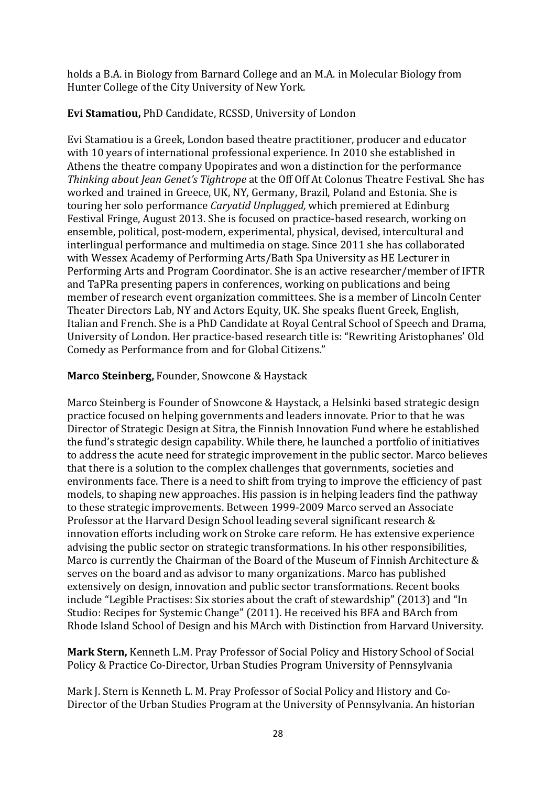holds a B.A. in Biology from Barnard College and an M.A. in Molecular Biology from Hunter College of the City University of New York.

# **Evi Stamatiou,** PhD Candidate, RCSSD, University of London

Evi Stamatiou is a Greek, London based theatre practitioner, producer and educator with 10 years of international professional experience. In 2010 she established in Athens the theatre company Upopirates and won a distinction for the performance *Thinking about Jean Genet's Tightrope* at the Off Off At Colonus Theatre Festival. She has worked and trained in Greece, UK, NY, Germany, Brazil, Poland and Estonia. She is touring her solo performance *Caryatid Unplugged,* which premiered at Edinburg Festival Fringe, August 2013. She is focused on practice-based research, working on ensemble, political, post-modern, experimental, physical, devised, intercultural and interlingual performance and multimedia on stage. Since 2011 she has collaborated with Wessex Academy of Performing Arts/Bath Spa University as HE Lecturer in Performing Arts and Program Coordinator. She is an active researcher/member of IFTR and TaPRa presenting papers in conferences, working on publications and being member of research event organization committees. She is a member of Lincoln Center Theater Directors Lab, NY and Actors Equity, UK. She speaks fluent Greek, English, Italian and French. She is a PhD Candidate at Royal Central School of Speech and Drama, University of London. Her practice-based research title is: "Rewriting Aristophanes' Old Comedy as Performance from and for Global Citizens."

## **Marco Steinberg,** Founder, Snowcone & Haystack

Marco Steinberg is Founder of [Snowcone](http://snowcone.fi/) & Haystack, a Helsinki based strategic design practice focused on helping governments and leaders innovate. Prior to that he was Director of Strategic Design at Sitra, the Finnish Innovation Fund where he established the fund's strategic design capability. While there, he launched a portfolio of initiatives to address the acute need for strategic improvement in the public sector. Marco believes that there is a solution to the complex challenges that governments, societies and environments face. There is a need to shift from trying to improve the efficiency of past models, to shaping new approaches. His passion is in helping leaders find the pathway to these strategic improvements. Between 1999-2009 Marco served an Associate Professor at the Harvard Design School leading several significant research & innovation efforts including work on Stroke care reform. He has extensive experience advising the public sector on strategic transformations. In his other responsibilities, Marco is currently the Chairman of the Board of the Museum of Finnish Architecture & serves on the board and as advisor to many organizations. Marco has published extensively on design, innovation and public sector transformations. Recent books include "Legible Practises: Six stories about the craft of [stewardship"](mailto:http://www.helsinkidesignlab.org/pages/legible-practises) (2013) and ["In](mailto:http://www.helsinkidesignlab.org/pages/studio-book) Studio: Recipes for [Systemic](mailto:http://www.helsinkidesignlab.org/pages/studio-book) Change" (2011). He received his BFA and BArch from Rhode Island School of Design and his MArch with Distinction from Harvard University.

**Mark Stern,** Kenneth L.M. Pray Professor of Social Policy and History School of Social Policy & Practice Co-Director, Urban Studies Program University of Pennsylvania

Mark J. Stern is Kenneth L. M. Pray Professor of Social Policy and History and Co-Director of the Urban Studies Program at the University of Pennsylvania. An historian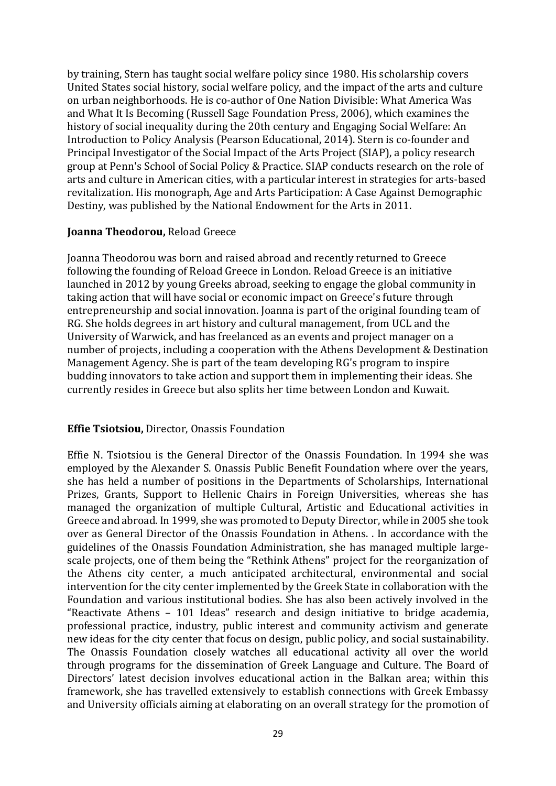by training, Stern has taught social welfare policy since 1980. His scholarship covers United States social history, social welfare policy, and the impact of the arts and culture on urban neighborhoods. He is co-author of One Nation Divisible: What America Was and What It Is Becoming (Russell Sage Foundation Press, 2006), which examines the history of social inequality during the 20th century and Engaging Social Welfare: An Introduction to Policy Analysis (Pearson Educational, 2014). Stern is co-founder and Principal Investigator of the Social Impact of the Arts Project (SIAP), a policy research group at Penn's School of Social Policy & Practice. SIAP conducts research on the role of arts and culture in American cities, with a particular interest in strategies for arts-based revitalization. His monograph, Age and Arts Participation: A Case Against Demographic Destiny, was published by the National Endowment for the Arts in 2011.

#### **Joanna Theodorou,** Reload Greece

Joanna Theodorou was born and raised abroad and recently returned to Greece following the founding of Reload Greece in London. Reload Greece is an initiative launched in 2012 by young Greeks abroad, seeking to engage the global community in taking action that will have social or economic impact on Greece's future through entrepreneurship and social innovation. Joanna is part of the original founding team of RG. She holds degrees in art history and cultural management, from UCL and the University of Warwick, and has freelanced as an events and project manager on a number of projects, including a cooperation with the Athens Development & Destination Management Agency. She is part of the team developing RG's program to inspire budding innovators to take action and support them in implementing their ideas. She currently resides in Greece but also splits her time between London and Kuwait.

### **Effie Tsiotsiou,** Director, Onassis Foundation

Effie N. Tsiotsiou is the General Director of the Onassis Foundation. In 1994 she was employed by the Alexander S. Onassis Public Benefit Foundation where over the years, she has held a number of positions in the Departments of Scholarships, International Prizes, Grants, Support to Hellenic Chairs in Foreign Universities, whereas she has managed the organization of multiple Cultural, Artistic and Educational activities in Greece and abroad. In 1999, she was promoted to Deputy Director, while in 2005 she took over as General Director of the Onassis Foundation in Athens. . In accordance with the guidelines of the Onassis Foundation Administration, she has managed multiple largescale projects, one of them being the "Rethink Athens" project for the reorganization of the Athens city center, a much anticipated architectural, environmental and social intervention for the city center implemented by the Greek State in collaboration with the Foundation and various institutional bodies. She has also been actively involved in the "Reactivate Athens – 101 Ideas" research and design initiative to bridge academia, professional practice, industry, public interest and community activism and generate new ideas for the city center that focus on design, public policy, and social sustainability. The Onassis Foundation closely watches all educational activity all over the world through programs for the dissemination of Greek Language and Culture. The Board of Directors' latest decision involves educational action in the Balkan area; within this framework, she has travelled extensively to establish connections with Greek Embassy and University officials aiming at elaborating on an overall strategy for the promotion of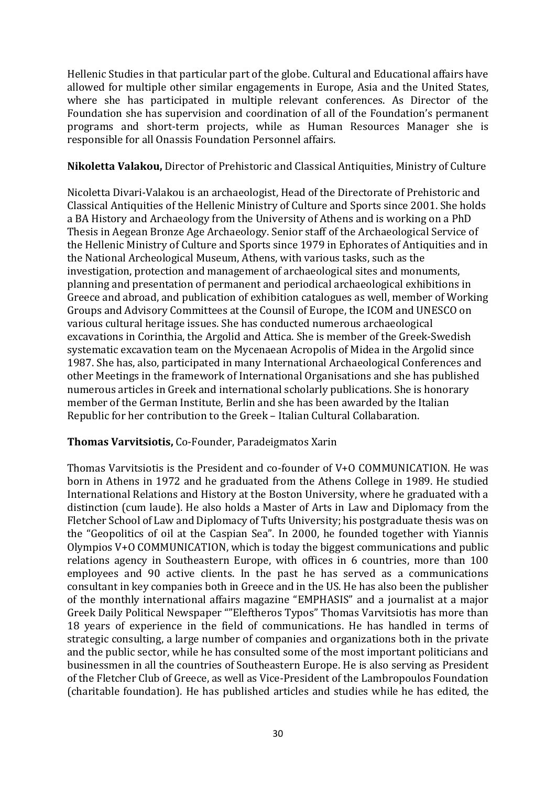Hellenic Studies in that particular part of the globe. Cultural and Educational affairs have allowed for multiple other similar engagements in Europe, Asia and the United States, where she has participated in multiple relevant conferences. As Director of the Foundation she has supervision and coordination of all of the Foundation's permanent programs and short-term projects, while as Human Resources Manager she is responsible for all Onassis Foundation Personnel affairs.

### **Nikoletta Valakou,** Director of Prehistoric and Classical Antiquities, Ministry of Culture

Nicoletta Divari-Valakou is an archaeologist, Head of the Directorate of Prehistoric and Classical Antiquities of the Hellenic Ministry of Culture and Sports since 2001. She holds a BA History and Archaeology from the University of Athens and is working on a PhD Thesis in Aegean Bronze Age Archaeology. Senior staff of the Archaeological Service of the Hellenic Ministry of Culture and Sports since 1979 in Ephorates of Antiquities and in the National Archeological Museum, Athens, with various tasks, such as the investigation, protection and management of archaeological sites and monuments, planning and presentation of permanent and periodical archaeological exhibitions in Greece and abroad, and publication of exhibition catalogues as well, member of Working Groups and Advisory Committees at the Counsil of Europe, the ICOM and UNESCO on various cultural heritage issues. She has conducted numerous archaeological excavations in Corinthia, the Argolid and Attica. She is member of the Greek-Swedish systematic excavation team on the Mycenaean Acropolis of Midea in the Argolid since 1987. She has, also, participated in many International Archaeological Conferences and other Meetings in the framework of International Organisations and she has published numerous articles in Greek and international scholarly publications. She is honorary member of the German Institute, Berlin and she has been awarded by the Italian Republic for her contribution to the Greek – Italian Cultural Collabaration.

### **Thomas Varvitsiotis,** Co-Founder, Paradeigmatos Xarin

Τhomas Varvitsiotis is the President and co-founder of V+O COMMUNICATION. He was born in Athens in 1972 and he graduated from the Athens College in 1989. He studied International Relations and History at the Boston University, where he graduated with a distinction (cum laude). He also holds a Master of Arts in Law and Diplomacy from the Fletcher School of Law and Diplomacy of Tufts University; his postgraduate thesis was on the "Geopolitics of oil at the Caspian Sea". In 2000, he founded together with Yiannis Olympios V+O COMMUNICATION, which is today the biggest communications and public relations agency in Southeastern Europe, with offices in 6 countries, more than 100 employees and 90 active clients. In the past he has served as a communications consultant in key companies both in Greece and in the US. He has also been the publisher of the monthly international affairs magazine "EMPHASIS" and a journalist at a major Greek Daily Political Newspaper ""Eleftheros Typos" Thomas Varvitsiotis has more than 18 years of experience in the field of communications. He has handled in terms of strategic consulting, a large number of companies and organizations both in the private and the public sector, while he has consulted some of the most important politicians and businessmen in all the countries of Southeastern Europe. He is also serving as President of the Fletcher Club of Greece, as well as Vice-President of the Lambropoulos Foundation (charitable foundation). He has published articles and studies while he has edited, the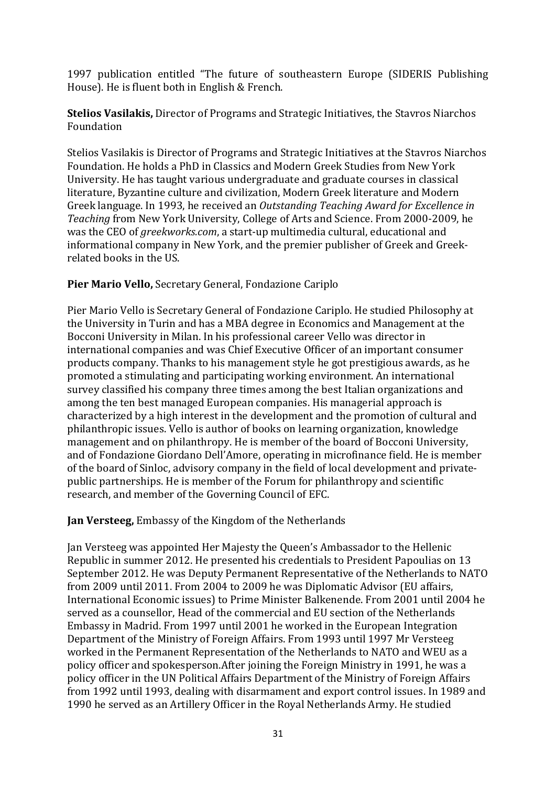1997 publication entitled "The future of southeastern Europe (SIDERIS Publishing House). He is fluent both in English & French.

**Stelios Vasilakis,** Director of Programs and Strategic Initiatives, the Stavros Niarchos Foundation

Stelios Vasilakis is Director of Programs and Strategic Initiatives at the Stavros Niarchos Foundation. He holds a PhD in Classics and Modern Greek Studies from New York University. He has taught various undergraduate and graduate courses in classical literature, Byzantine culture and civilization, Modern Greek literature and Modern Greek language. In 1993, he received an *Outstanding Teaching Award for Excellence in Teaching* from New York University, College of Arts and Science. From 2000-2009, he was the CEO of *greekworks.com*, a start-up multimedia cultural, educational and informational company in New York, and the premier publisher of Greek and Greekrelated books in the US.

## **Pier Mario Vello,** Secretary General, Fondazione Cariplo

Pier Mario Vello is Secretary General of Fondazione Cariplo. He studied Philosophy at the University in Turin and has a MBA degree in Economics and Management at the Bocconi University in Milan. In his professional career Vello was director in international companies and was Chief Executive Officer of an important consumer products company. Thanks to his management style he got prestigious awards, as he promoted a stimulating and participating working environment. An international survey classified his company three times among the best Italian organizations and among the ten best managed European companies. His managerial approach is characterized by a high interest in the development and the promotion of cultural and philanthropic issues. Vello is author of books on learning organization, knowledge management and on philanthropy. He is member of the board of Bocconi University, and of Fondazione Giordano Dell'Amore, operating in microfinance field. He is member of the board of Sinloc, advisory company in the field of local development and privatepublic partnerships. He is member of the Forum for philanthropy and scientific research, and member of the Governing Council of EFC.

**Jan Versteeg,** Embassy of the Kingdom of the Netherlands

Jan Versteeg was appointed Her Majesty the Queen's Ambassador to the Hellenic Republic in summer 2012. He presented his credentials to President Papoulias on 13 September 2012. He was Deputy Permanent Representative of the Netherlands to NATO from 2009 until 2011. From 2004 to 2009 he was Diplomatic Advisor (EU affairs, International Economic issues) to Prime Minister Balkenende. From 2001 until 2004 he served as a counsellor, Head of the commercial and EU section of the Netherlands Embassy in Madrid. From 1997 until 2001 he worked in the European Integration Department of the Ministry of Foreign Affairs. From 1993 until 1997 Mr Versteeg worked in the Permanent Representation of the Netherlands to NATO and WEU as a policy officer and spokesperson.After joining the Foreign Ministry in 1991, he was a policy officer in the UN Political Affairs Department of the Ministry of Foreign Affairs from 1992 until 1993, dealing with disarmament and export control issues. In 1989 and 1990 he served as an Artillery Officer in the Royal Netherlands Army. He studied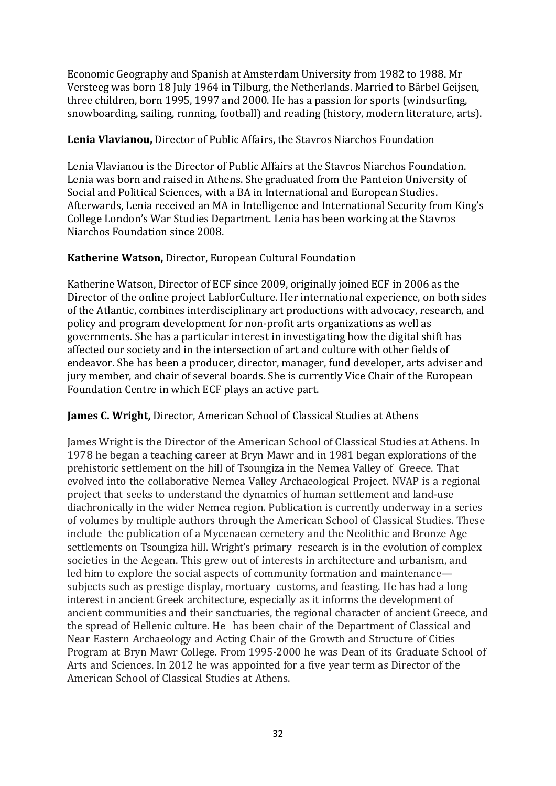Economic Geography and Spanish at Amsterdam University from 1982 to 1988. Mr Versteeg was born 18 July 1964 in Tilburg, the Netherlands. Married to Bärbel Geijsen, three children, born 1995, 1997 and 2000. He has a passion for sports (windsurfing, snowboarding, sailing, running, football) and reading (history, modern literature, arts).

### **Lenia Vlavianou,** Director of Public Affairs, the Stavros Niarchos Foundation

Lenia Vlavianou is the Director of Public Affairs at the Stavros Niarchos Foundation. Lenia was born and raised in Athens. She graduated from the Panteion University of Social and Political Sciences, with a BA in International and European Studies. Afterwards, Lenia received an MA in Intelligence and International Security from King's College London's War Studies Department. Lenia has been working at the Stavros Niarchos Foundation since 2008.

## **Katherine Watson,** Director, European Cultural Foundation

Katherine Watson, Director of ECF since 2009, originally joined ECF in 2006 as the Director of the online project LabforCulture. Her international experience, on both sides of the Atlantic, combines interdisciplinary art productions with advocacy, research, and policy and program development for non-profit arts organizations as well as governments. She has a particular interest in investigating how the digital shift has affected our society and in the intersection of art and culture with other fields of endeavor. She has been a producer, director, manager, fund developer, arts adviser and jury member, and chair of several boards. She is currently Vice Chair of the European Foundation Centre in which ECF plays an active part.

## **James C. Wright,** Director, American School of Classical Studies at Athens

James Wright is the Director of the American School of Classical Studies at Athens. In 1978 he began a teaching career at Bryn Mawr and in 1981 began explorations of the prehistoric settlement on the hill of Tsoungiza in the Nemea Valley of Greece. That evolved into the collaborative Nemea Valley Archaeological Project. NVAP is a regional project that seeks to understand the dynamics of human settlement and land-use diachronically in the wider Nemea region. Publication is currently underway in a series of volumes by multiple authors through the American School of Classical Studies. These include the publication of a Mycenaean cemetery and the Neolithic and Bronze Age settlements on Tsoungiza hill. Wright's primary research is in the evolution of complex societies in the Aegean. This grew out of interests in architecture and urbanism, and led him to explore the social aspects of community formation and maintenance subjects such as prestige display, mortuary customs, and feasting. He has had a long interest in ancient Greek architecture, especially as it informs the development of ancient communities and their sanctuaries, the regional character of ancient Greece, and the spread of Hellenic culture. He has been chair of the Department of Classical and Near Eastern Archaeology and Acting Chair of the Growth and Structure of Cities Program at Bryn Mawr College. From 1995-2000 he was Dean of its Graduate School of Arts and Sciences. In 2012 he was appointed for a five year term as Director of the American School of Classical Studies at Athens.